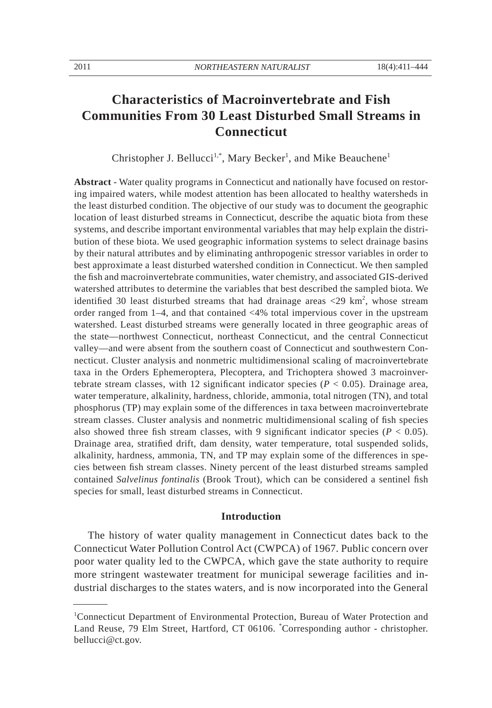# **Characteristics of Macroinvertebrate and Fish Communities From 30 Least Disturbed Small Streams in Connecticut**

Christopher J. Bellucci<sup>1,\*</sup>, Mary Becker<sup>1</sup>, and Mike Beauchene<sup>1</sup>

**Abstract** - Water quality programs in Connecticut and nationally have focused on restoring impaired waters, while modest attention has been allocated to healthy watersheds in the least disturbed condition. The objective of our study was to document the geographic location of least disturbed streams in Connecticut, describe the aquatic biota from these systems, and describe important environmental variables that may help explain the distribution of these biota. We used geographic information systems to select drainage basins by their natural attributes and by eliminating anthropogenic stressor variables in order to best approximate a least disturbed watershed condition in Connecticut. We then sampled the fish and macroinvertebrate communities, water chemistry, and associated GIS-derived watershed attributes to determine the variables that best described the sampled biota. We identified 30 least disturbed streams that had drainage areas  $\langle 29 \text{ km}^2 \rangle$ , whose stream order ranged from 1–4, and that contained <4% total impervious cover in the upstream watershed. Least disturbed streams were generally located in three geographic areas of the state—northwest Connecticut, northeast Connecticut, and the central Connecticut valley—and were absent from the southern coast of Connecticut and southwestern Connecticut. Cluster analysis and nonmetric multidimensional scaling of macroinvertebrate taxa in the Orders Ephemeroptera, Plecoptera, and Trichoptera showed 3 macroinvertebrate stream classes, with 12 significant indicator species ( $P < 0.05$ ). Drainage area, water temperature, alkalinity, hardness, chloride, ammonia, total nitrogen (TN), and total phosphorus (TP) may explain some of the differences in taxa between macroinvertebrate stream classes. Cluster analysis and nonmetric multidimensional scaling of fish species also showed three fish stream classes, with 9 significant indicator species ( $P < 0.05$ ). Drainage area, stratified drift, dam density, water temperature, total suspended solids, alkalinity, hardness, ammonia, TN, and TP may explain some of the differences in species between fish stream classes. Ninety percent of the least disturbed streams sampled contained *Salvelinus fontinalis* (Brook Trout), which can be considered a sentinel fish species for small, least disturbed streams in Connecticut.

### **Introduction**

 The history of water quality management in Connecticut dates back to the Connecticut Water Pollution Control Act (CWPCA) of 1967. Public concern over poor water quality led to the CWPCA, which gave the state authority to require more stringent wastewater treatment for municipal sewerage facilities and industrial discharges to the states waters, and is now incorporated into the General

<sup>&</sup>lt;sup>1</sup>Connecticut Department of Environmental Protection, Bureau of Water Protection and Land Reuse, 79 Elm Street, Hartford, CT 06106. \* Corresponding author - christopher. bellucci@ct.gov.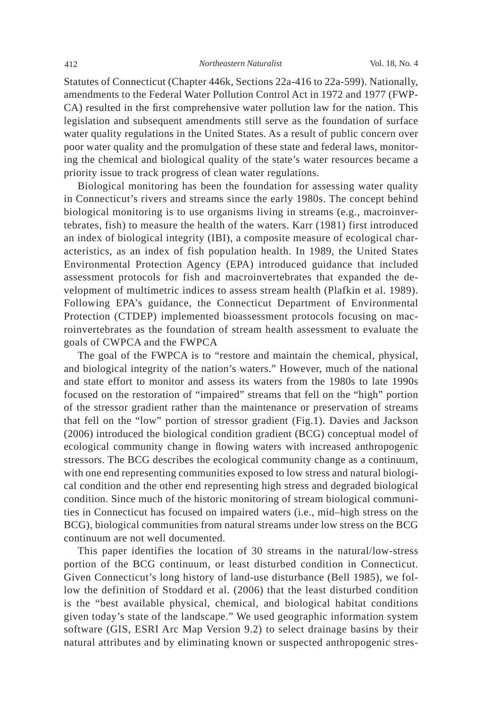Statutes of Connecticut (Chapter 446k, Sections 22a-416 to 22a-599). Nationally, amendments to the Federal Water Pollution Control Act in 1972 and 1977 (FWP-CA) resulted in the first comprehensive water pollution law for the nation. This legislation and subsequent amendments still serve as the foundation of surface water quality regulations in the United States. As a result of public concern over poor water quality and the promulgation of these state and federal laws, monitoring the chemical and biological quality of the state's water resources became a priority issue to track progress of clean water regulations.

 Biological monitoring has been the foundation for assessing water quality in Connecticut's rivers and streams since the early 1980s. The concept behind biological monitoring is to use organisms living in streams (e.g., macroinvertebrates, fish) to measure the health of the waters. Karr (1981) first introduced an index of biological integrity (IBI), a composite measure of ecological characteristics, as an index of fish population health. In 1989, the United States Environmental Protection Agency (EPA) introduced guidance that included assessment protocols for fish and macroinvertebrates that expanded the development of multimetric indices to assess stream health (Plafkin et al. 1989). Following EPA's guidance, the Connecticut Department of Environmental Protection (CTDEP) implemented bioassessment protocols focusing on macroinvertebrates as the foundation of stream health assessment to evaluate the goals of CWPCA and the FWPCA

 The goal of the FWPCA is to "restore and maintain the chemical, physical, and biological integrity of the nation's waters." However, much of the national and state effort to monitor and assess its waters from the 1980s to late 1990s focused on the restoration of "impaired" streams that fell on the "high" portion of the stressor gradient rather than the maintenance or preservation of streams that fell on the "low" portion of stressor gradient (Fig.1). Davies and Jackson (2006) introduced the biological condition gradient (BCG) conceptual model of ecological community change in flowing waters with increased anthropogenic stressors. The BCG describes the ecological community change as a continuum, with one end representing communities exposed to low stress and natural biological condition and the other end representing high stress and degraded biological condition. Since much of the historic monitoring of stream biological communities in Connecticut has focused on impaired waters (i.e., mid–high stress on the BCG), biological communities from natural streams under low stress on the BCG continuum are not well documented.

 This paper identifies the location of 30 streams in the natural/low-stress portion of the BCG continuum, or least disturbed condition in Connecticut. Given Connecticut's long history of land-use disturbance (Bell 1985), we follow the definition of Stoddard et al. (2006) that the least disturbed condition is the "best available physical, chemical, and biological habitat conditions given today's state of the landscape." We used geographic information system software (GIS, ESRI Arc Map Version 9.2) to select drainage basins by their natural attributes and by eliminating known or suspected anthropogenic stres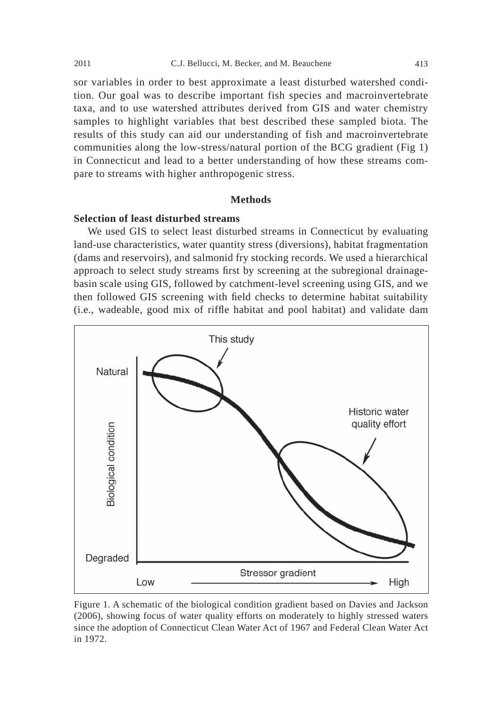sor variables in order to best approximate a least disturbed watershed condition. Our goal was to describe important fish species and macroinvertebrate taxa, and to use watershed attributes derived from GIS and water chemistry samples to highlight variables that best described these sampled biota. The results of this study can aid our understanding of fish and macroinvertebrate communities along the low-stress/natural portion of the BCG gradient (Fig 1) in Connecticut and lead to a better understanding of how these streams compare to streams with higher anthropogenic stress.

### **Methods**

# **Selection of least disturbed streams**

 We used GIS to select least disturbed streams in Connecticut by evaluating land-use characteristics, water quantity stress (diversions), habitat fragmentation (dams and reservoirs), and salmonid fry stocking records. We used a hierarchical approach to select study streams first by screening at the subregional drainagebasin scale using GIS, followed by catchment-level screening using GIS, and we then followed GIS screening with field checks to determine habitat suitability (i.e., wadeable, good mix of riffle habitat and pool habitat) and validate dam



Figure 1. A schematic of the biological condition gradient based on Davies and Jackson (2006), showing focus of water quality efforts on moderately to highly stressed waters since the adoption of Connecticut Clean Water Act of 1967 and Federal Clean Water Act in 1972.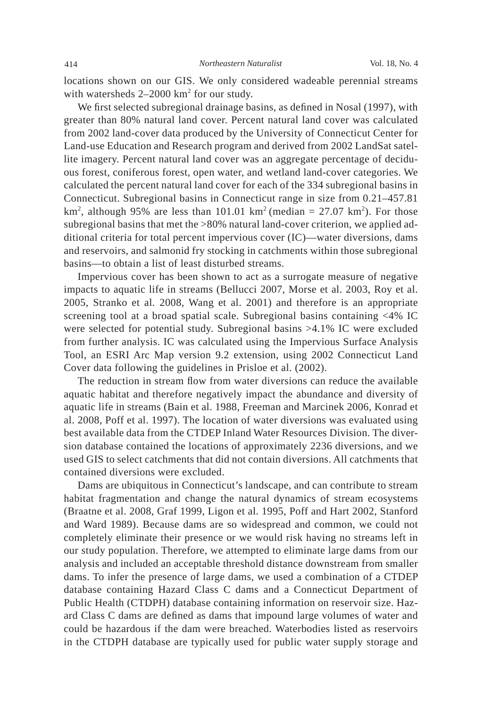locations shown on our GIS. We only considered wadeable perennial streams with watersheds  $2-2000 \text{ km}^2$  for our study.

We first selected subregional drainage basins, as defined in Nosal (1997), with greater than 80% natural land cover. Percent natural land cover was calculated from 2002 land-cover data produced by the University of Connecticut Center for Land-use Education and Research program and derived from 2002 LandSat satellite imagery. Percent natural land cover was an aggregate percentage of deciduous forest, coniferous forest, open water, and wetland land-cover categories. We calculated the percent natural land cover for each of the 334 subregional basins in Connecticut. Subregional basins in Connecticut range in size from 0.21–457.81 km<sup>2</sup>, although 95% are less than 101.01 km<sup>2</sup> (median = 27.07 km<sup>2</sup>). For those subregional basins that met the >80% natural land-cover criterion, we applied additional criteria for total percent impervious cover (IC)—water diversions, dams and reservoirs, and salmonid fry stocking in catchments within those subregional basins—to obtain a list of least disturbed streams.

 Impervious cover has been shown to act as a surrogate measure of negative impacts to aquatic life in streams (Bellucci 2007, Morse et al. 2003, Roy et al. 2005, Stranko et al. 2008, Wang et al. 2001) and therefore is an appropriate screening tool at a broad spatial scale. Subregional basins containing <4% IC were selected for potential study. Subregional basins >4.1% IC were excluded from further analysis. IC was calculated using the Impervious Surface Analysis Tool, an ESRI Arc Map version 9.2 extension, using 2002 Connecticut Land Cover data following the guidelines in Prisloe et al. (2002).

The reduction in stream flow from water diversions can reduce the available aquatic habitat and therefore negatively impact the abundance and diversity of aquatic life in streams (Bain et al. 1988, Freeman and Marcinek 2006, Konrad et al. 2008, Poff et al. 1997). The location of water diversions was evaluated using best available data from the CTDEP Inland Water Resources Division. The diversion database contained the locations of approximately 2236 diversions, and we used GIS to select catchments that did not contain diversions. All catchments that contained diversions were excluded.

 Dams are ubiquitous in Connecticut's landscape, and can contribute to stream habitat fragmentation and change the natural dynamics of stream ecosystems (Braatne et al. 2008, Graf 1999, Ligon et al. 1995, Poff and Hart 2002, Stanford and Ward 1989). Because dams are so widespread and common, we could not completely eliminate their presence or we would risk having no streams left in our study population. Therefore, we attempted to eliminate large dams from our analysis and included an acceptable threshold distance downstream from smaller dams. To infer the presence of large dams, we used a combination of a CTDEP database containing Hazard Class C dams and a Connecticut Department of Public Health (CTDPH) database containing information on reservoir size. Hazard Class C dams are defined as dams that impound large volumes of water and could be hazardous if the dam were breached. Waterbodies listed as reservoirs in the CTDPH database are typically used for public water supply storage and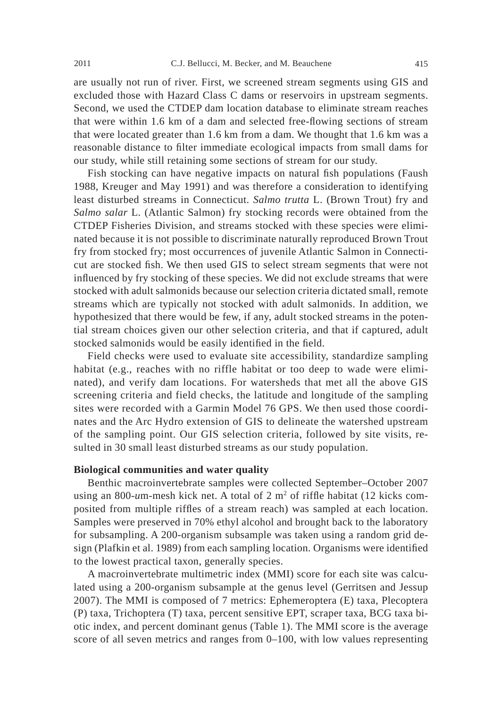are usually not run of river. First, we screened stream segments using GIS and excluded those with Hazard Class C dams or reservoirs in upstream segments. Second, we used the CTDEP dam location database to eliminate stream reaches that were within 1.6 km of a dam and selected free-flowing sections of stream that were located greater than 1.6 km from a dam. We thought that 1.6 km was a reasonable distance to filter immediate ecological impacts from small dams for our study, while still retaining some sections of stream for our study.

Fish stocking can have negative impacts on natural fish populations (Faush 1988, Kreuger and May 1991) and was therefore a consideration to identifying least disturbed streams in Connecticut. *Salmo trutta* L. (Brown Trout) fry and *Salmo salar* L. (Atlantic Salmon) fry stocking records were obtained from the CTDEP Fisheries Division, and streams stocked with these species were eliminated because it is not possible to discriminate naturally reproduced Brown Trout fry from stocked fry; most occurrences of juvenile Atlantic Salmon in Connecticut are stocked fish. We then used GIS to select stream segments that were not influenced by fry stocking of these species. We did not exclude streams that were stocked with adult salmonids because our selection criteria dictated small, remote streams which are typically not stocked with adult salmonids. In addition, we hypothesized that there would be few, if any, adult stocked streams in the potential stream choices given our other selection criteria, and that if captured, adult stocked salmonids would be easily identified in the field.

 Field checks were used to evaluate site accessibility, standardize sampling habitat (e.g., reaches with no riffle habitat or too deep to wade were eliminated), and verify dam locations. For watersheds that met all the above GIS screening criteria and field checks, the latitude and longitude of the sampling sites were recorded with a Garmin Model 76 GPS. We then used those coordinates and the Arc Hydro extension of GIS to delineate the watershed upstream of the sampling point. Our GIS selection criteria, followed by site visits, resulted in 30 small least disturbed streams as our study population.

### **Biological communities and water quality**

 Benthic macroinvertebrate samples were collected September–October 2007 using an 800-um-mesh kick net. A total of 2 m<sup>2</sup> of riffle habitat (12 kicks composited from multiple riffles of a stream reach) was sampled at each location. Samples were preserved in 70% ethyl alcohol and brought back to the laboratory for subsampling. A 200-organism subsample was taken using a random grid design (Plafkin et al. 1989) from each sampling location. Organisms were identified to the lowest practical taxon, generally species.

 A macroinvertebrate multimetric index (MMI) score for each site was calculated using a 200-organism subsample at the genus level (Gerritsen and Jessup 2007). The MMI is composed of 7 metrics: Ephemeroptera (E) taxa, Plecoptera (P) taxa, Trichoptera (T) taxa, percent sensitive EPT, scraper taxa, BCG taxa biotic index, and percent dominant genus (Table 1). The MMI score is the average score of all seven metrics and ranges from 0–100, with low values representing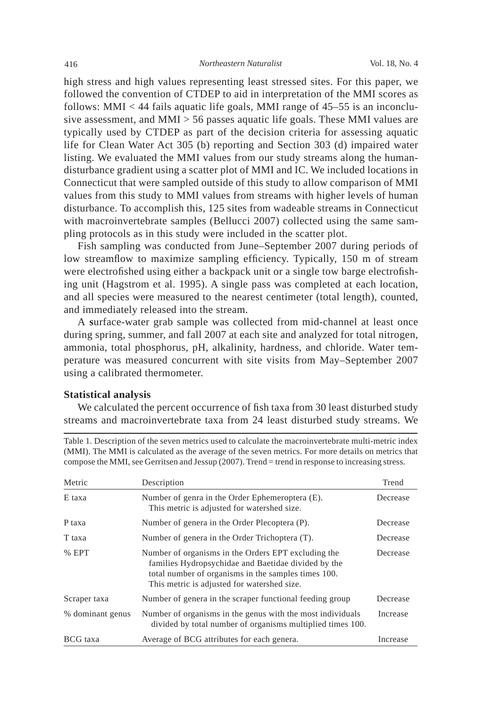high stress and high values representing least stressed sites. For this paper, we followed the convention of CTDEP to aid in interpretation of the MMI scores as follows: MMI  $<$  44 fails aquatic life goals, MMI range of 45–55 is an inconclusive assessment, and MMI > 56 passes aquatic life goals. These MMI values are typically used by CTDEP as part of the decision criteria for assessing aquatic life for Clean Water Act 305 (b) reporting and Section 303 (d) impaired water listing. We evaluated the MMI values from our study streams along the humandisturbance gradient using a scatter plot of MMI and IC. We included locations in Connecticut that were sampled outside of this study to allow comparison of MMI values from this study to MMI values from streams with higher levels of human disturbance. To accomplish this, 125 sites from wadeable streams in Connecticut with macroinvertebrate samples (Bellucci 2007) collected using the same sampling protocols as in this study were included in the scatter plot.

 Fish sampling was conducted from June–September 2007 during periods of low streamflow to maximize sampling efficiency. Typically, 150 m of stream were electrofished using either a backpack unit or a single tow barge electrofishing unit (Hagstrom et al. 1995). A single pass was completed at each location, and all species were measured to the nearest centimeter (total length), counted, and immediately released into the stream.

 A **s**urface-water grab sample was collected from mid-channel at least once during spring, summer, and fall 2007 at each site and analyzed for total nitrogen, ammonia, total phosphorus, pH, alkalinity, hardness, and chloride. Water temperature was measured concurrent with site visits from May–September 2007 using a calibrated thermometer.

### **Statistical analysis**

We calculated the percent occurrence of fish taxa from 30 least disturbed study streams and macroinvertebrate taxa from 24 least disturbed study streams. We

| Table 1. Description of the seven metrics used to calculate the macroinvertebrate multi-metric index |
|------------------------------------------------------------------------------------------------------|
| (MMI). The MMI is calculated as the average of the seven metrics. For more details on metrics that   |
| compose the MMI, see Gerritsen and Jessup (2007). Trend = trend in response to increasing stress.    |
|                                                                                                      |

| Metric           | Description                                                                                                                                                                                                      | Trend    |
|------------------|------------------------------------------------------------------------------------------------------------------------------------------------------------------------------------------------------------------|----------|
| E taxa           | Number of genra in the Order Ephemeroptera (E).<br>This metric is adjusted for watershed size.                                                                                                                   | Decrease |
| P taxa           | Number of genera in the Order Plecoptera (P).                                                                                                                                                                    | Decrease |
| T taxa           | Number of genera in the Order Trichoptera (T).                                                                                                                                                                   | Decrease |
| $%$ EPT          | Number of organisms in the Orders EPT excluding the<br>families Hydropsychidae and Baetidae divided by the<br>total number of organisms in the samples times 100.<br>This metric is adjusted for watershed size. | Decrease |
| Scraper taxa     | Number of genera in the scraper functional feeding group                                                                                                                                                         | Decrease |
| % dominant genus | Number of organisms in the genus with the most individuals<br>divided by total number of organisms multiplied times 100.                                                                                         | Increase |
| <b>BCG</b> taxa  | Average of BCG attributes for each genera.                                                                                                                                                                       | Increase |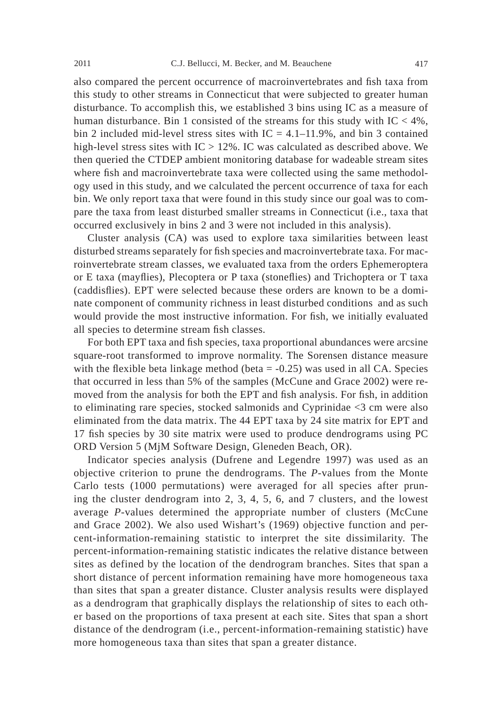also compared the percent occurrence of macroinvertebrates and fish taxa from this study to other streams in Connecticut that were subjected to greater human disturbance. To accomplish this, we established 3 bins using IC as a measure of human disturbance. Bin 1 consisted of the streams for this study with  $IC < 4\%$ , bin 2 included mid-level stress sites with  $IC = 4.1 - 11.9\%$ , and bin 3 contained high-level stress sites with  $IC > 12\%$ . IC was calculated as described above. We then queried the CTDEP ambient monitoring database for wadeable stream sites where fish and macroinvertebrate taxa were collected using the same methodology used in this study, and we calculated the percent occurrence of taxa for each bin. We only report taxa that were found in this study since our goal was to compare the taxa from least disturbed smaller streams in Connecticut (i.e., taxa that occurred exclusively in bins 2 and 3 were not included in this analysis).

 Cluster analysis (CA) was used to explore taxa similarities between least disturbed streams separately for fish species and macroinvertebrate taxa. For macroinvertebrate stream classes, we evaluated taxa from the orders Ephemeroptera or E taxa (mayflies), Plecoptera or P taxa (stoneflies) and Trichoptera or T taxa (caddisflies). EPT were selected because these orders are known to be a dominate component of community richness in least disturbed conditions and as such would provide the most instructive information. For fish, we initially evaluated all species to determine stream fish classes.

For both EPT taxa and fish species, taxa proportional abundances were arcsine square-root transformed to improve normality. The Sorensen distance measure with the flexible beta linkage method (beta  $= -0.25$ ) was used in all CA. Species that occurred in less than 5% of the samples (McCune and Grace 2002) were removed from the analysis for both the EPT and fish analysis. For fish, in addition to eliminating rare species, stocked salmonids and Cyprinidae <3 cm were also eliminated from the data matrix. The 44 EPT taxa by 24 site matrix for EPT and 17 fish species by 30 site matrix were used to produce dendrograms using PC ORD Version 5 (MjM Software Design, Gleneden Beach, OR).

 Indicator species analysis (Dufrene and Legendre 1997) was used as an objective criterion to prune the dendrograms. The *P*-values from the Monte Carlo tests (1000 permutations) were averaged for all species after pruning the cluster dendrogram into 2, 3, 4, 5, 6, and 7 clusters, and the lowest average *P*-values determined the appropriate number of clusters (McCune and Grace 2002). We also used Wishart's (1969) objective function and percent-information-remaining statistic to interpret the site dissimilarity. The percent-information-remaining statistic indicates the relative distance between sites as defined by the location of the dendrogram branches. Sites that span a short distance of percent information remaining have more homogeneous taxa than sites that span a greater distance. Cluster analysis results were displayed as a dendrogram that graphically displays the relationship of sites to each other based on the proportions of taxa present at each site. Sites that span a short distance of the dendrogram (i.e., percent-information-remaining statistic) have more homogeneous taxa than sites that span a greater distance.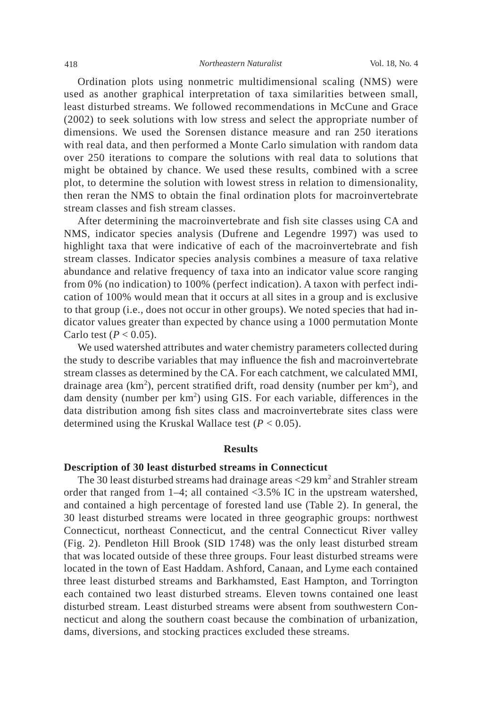#### 418 *Northeastern Naturalist* Vol. 18, No. 4

 Ordination plots using nonmetric multidimensional scaling (NMS) were used as another graphical interpretation of taxa similarities between small, least disturbed streams. We followed recommendations in McCune and Grace (2002) to seek solutions with low stress and select the appropriate number of dimensions. We used the Sorensen distance measure and ran 250 iterations with real data, and then performed a Monte Carlo simulation with random data over 250 iterations to compare the solutions with real data to solutions that might be obtained by chance. We used these results, combined with a scree plot, to determine the solution with lowest stress in relation to dimensionality, then reran the NMS to obtain the final ordination plots for macroinvertebrate stream classes and fish stream classes.

 After determining the macroinvertebrate and fish site classes using CA and NMS, indicator species analysis (Dufrene and Legendre 1997) was used to highlight taxa that were indicative of each of the macroinvertebrate and fish stream classes. Indicator species analysis combines a measure of taxa relative abundance and relative frequency of taxa into an indicator value score ranging from 0% (no indication) to 100% (perfect indication). A taxon with perfect indication of 100% would mean that it occurs at all sites in a group and is exclusive to that group (i.e., does not occur in other groups). We noted species that had indicator values greater than expected by chance using a 1000 permutation Monte Carlo test  $(P < 0.05)$ .

 We used watershed attributes and water chemistry parameters collected during the study to describe variables that may influence the fish and macroinvertebrate stream classes as determined by the CA. For each catchment, we calculated MMI, drainage area ( $km<sup>2</sup>$ ), percent stratified drift, road density (number per  $km<sup>2</sup>$ ), and dam density (number per km<sup>2</sup>) using GIS. For each variable, differences in the data distribution among fish sites class and macroinvertebrate sites class were determined using the Kruskal Wallace test  $(P < 0.05)$ .

#### **Results**

# **Description of 30 least disturbed streams in Connecticut**

The 30 least disturbed streams had drainage areas  $\langle 29 \text{ km}^2 \rangle$  and Strahler stream order that ranged from 1–4; all contained <3.5% IC in the upstream watershed, and contained a high percentage of forested land use (Table 2). In general, the 30 least disturbed streams were located in three geographic groups: northwest Connecticut, northeast Connecticut, and the central Connecticut River valley (Fig. 2). Pendleton Hill Brook (SID 1748) was the only least disturbed stream that was located outside of these three groups. Four least disturbed streams were located in the town of East Haddam. Ashford, Canaan, and Lyme each contained three least disturbed streams and Barkhamsted, East Hampton, and Torrington each contained two least disturbed streams. Eleven towns contained one least disturbed stream. Least disturbed streams were absent from southwestern Connecticut and along the southern coast because the combination of urbanization, dams, diversions, and stocking practices excluded these streams.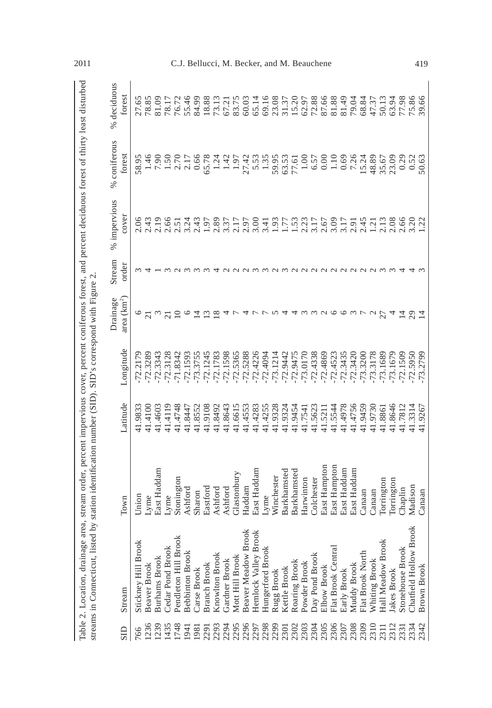| i<br>!                                                                        |                                                       |
|-------------------------------------------------------------------------------|-------------------------------------------------------|
|                                                                               |                                                       |
| くしゅじょう くみ じゅんき<br>5                                                           |                                                       |
|                                                                               | i<br>J                                                |
| iteam order neroent imperiance cover percent constarous toract and raround di | $-20$<br>;<br>;                                       |
| : ט<br>u .u                                                                   |                                                       |
|                                                                               | :<br> <br> <br> <br> <br>(1)<br>;<br>)<br>)<br>)<br>) |
|                                                                               | i                                                     |
| j<br>i                                                                        | $\frac{1}{2}$                                         |
|                                                                               |                                                       |
|                                                                               |                                                       |
|                                                                               | .<br>Cota                                             |

|      | Table 2. Location, drainage area, stream order, percent impervious cover, percent coniferous forest, and percent deciduous forest of thirty least disturbed<br>streams in Connecticut, listed by station identification number (SID). SID's correspond with Figure |                                                                                                                |          |            |                          | $\mathcal{L}$             |                                      |                             |                          |
|------|--------------------------------------------------------------------------------------------------------------------------------------------------------------------------------------------------------------------------------------------------------------------|----------------------------------------------------------------------------------------------------------------|----------|------------|--------------------------|---------------------------|--------------------------------------|-----------------------------|--------------------------|
| SID  | Stream                                                                                                                                                                                                                                                             | Town                                                                                                           | Latitude | Longitude  | area $(km2)$<br>Drainage | Stream<br>order           | impervious<br>cover<br>%             | coniferous<br>forest<br>%   | deciduous<br>forest<br>% |
| 766  | Stickney Hill Brook                                                                                                                                                                                                                                                | Union                                                                                                          | 41.9833  | $-72.2179$ |                          |                           | 2.06                                 | 58.95                       |                          |
| 1236 | Beaver Brook                                                                                                                                                                                                                                                       | $_{Lyme}$                                                                                                      | 41.4100  | $-72.3289$ | $\frac{6}{21}$           |                           |                                      | 1.46                        | 27.65<br>78.85           |
| 1239 | Burhams Brook                                                                                                                                                                                                                                                      | East Haddam                                                                                                    | 41.4603  | .72.3343   |                          |                           |                                      | 7.90                        | 81.09                    |
| 1435 | Cedar Pond Brook                                                                                                                                                                                                                                                   | Lyme<br>Stonington                                                                                             | 41.4119  | $-72.3128$ | $\overline{21}$          |                           | 2.66                                 | 1.50                        | 78.17                    |
| 1748 | Pendleton Hill Brook                                                                                                                                                                                                                                               |                                                                                                                | 41.4748  | $-71.8342$ | $\supseteq$              |                           | 2.51                                 | 2.70                        | 76.72                    |
| 1941 | <b>Bebbinton Brook</b>                                                                                                                                                                                                                                             | Ashford                                                                                                        | 41.8447  | $-72.1593$ | $\circ$                  |                           | 3.24                                 | 2.17                        | 55.46                    |
| 1981 | Carse Brook                                                                                                                                                                                                                                                        | Sharon                                                                                                         | 41.8552  | $-73.3755$ | 그                        |                           | 2.43                                 | 0.66                        | 84.99                    |
| 2291 | <b>Branch Brook</b>                                                                                                                                                                                                                                                | Eastford<br>Ashford                                                                                            | 41.9108  | $-72.1245$ | $\frac{13}{8}$           |                           | 1.97                                 | 65.78                       | 18.88                    |
| 2293 | Knowlton Brook                                                                                                                                                                                                                                                     |                                                                                                                | 41.8492  | $-72.1783$ |                          |                           | 2.89                                 | 1.24                        |                          |
| 2294 | Gardner Brook                                                                                                                                                                                                                                                      | Ashford<br>Glastonb                                                                                            | 41.8643  | $-72.1598$ |                          |                           | 3.37                                 | $1.42$<br>$1.97$<br>$27.42$ | $73.13$<br>$67.21$       |
| 2295 | Mott Hill Brook                                                                                                                                                                                                                                                    | lastonbury                                                                                                     | 41.6615  | $-72.5365$ |                          |                           |                                      |                             | 83.75                    |
| 2296 | Beaver Meadow Brook                                                                                                                                                                                                                                                | Haddam                                                                                                         | 41.4553  | $-72.5288$ | 寸                        |                           | $2.17$<br>$2.97$                     |                             | 60.03                    |
| 2297 | Hemlock Valley Brook                                                                                                                                                                                                                                               | East Haddam                                                                                                    | 41.4283  | $-72.4226$ |                          |                           | 3.00                                 | $5.53$<br>1.35              | 65.14                    |
| 2298 | Hungerford Brook                                                                                                                                                                                                                                                   | Lyme<br>Winchester                                                                                             | 41.4255  | $-72.4094$ |                          |                           | 3.41                                 |                             | 69.16                    |
| 2299 | Rugg Brook                                                                                                                                                                                                                                                         |                                                                                                                | 41.9328  | $-73.1214$ | S                        |                           | 1.93                                 | 59.95                       | 23.08                    |
| 2301 | Kettle Brook                                                                                                                                                                                                                                                       | Barkhamsted<br>Barkhamsted                                                                                     | 41.9324  | $-72.9442$ | 4                        |                           | $1.77$<br>$1.53$<br>$2.33$<br>$3.17$ | 63.53                       | 31.37                    |
| 2302 | Roaring Brook                                                                                                                                                                                                                                                      |                                                                                                                | 41.9454  | $-72.9475$ |                          |                           |                                      | 77.61                       | 15.20                    |
| 2303 | Powder Brook                                                                                                                                                                                                                                                       |                                                                                                                | 41.7541  | $-73.0170$ |                          |                           |                                      | 1.00                        | 62.97                    |
| 2304 | <b>Day Pond Brook</b>                                                                                                                                                                                                                                              |                                                                                                                | 41.5623  | $-72.4338$ |                          |                           |                                      | $6.57$<br>0.00              | 72.88<br>87.66           |
| 2305 | <b>Elbow Brook</b>                                                                                                                                                                                                                                                 | Harwinton<br>Colchester<br>East Hampton<br>East Hampton<br>East Haddam<br>East Haddam<br>East Haddam<br>Canaan | 41.5211  | $-72.4869$ | 4 9 9 9 9 0              |                           | 2.67                                 |                             |                          |
| 2306 | Flat Brook Central                                                                                                                                                                                                                                                 |                                                                                                                | 41.5544  | $-72.4523$ |                          |                           |                                      | $\frac{1.10}{0.69}$         | 81.88                    |
| 2307 | <b>Early Brook</b>                                                                                                                                                                                                                                                 |                                                                                                                | 41.4978  | $-72.3435$ |                          |                           | 3.17                                 |                             | 81.49                    |
| 2308 | Muddy Brook                                                                                                                                                                                                                                                        |                                                                                                                | 41.4756  | $-72.3420$ |                          |                           | 2.91                                 | 7.26                        | 79.04                    |
| 2309 | Flat Brook North                                                                                                                                                                                                                                                   |                                                                                                                | 41.9459  | $-73.3200$ |                          |                           | 2.45                                 | 15.24                       | 68.84                    |
| 2310 | Whiting Brook                                                                                                                                                                                                                                                      |                                                                                                                | 41.9730  | $-73.3178$ |                          | a m a a a a a a a a a m m | 1.21                                 | 48.89                       | 47.37                    |
| 2311 | Hall Meadow Brook                                                                                                                                                                                                                                                  | Torrington<br>Torrington                                                                                       | 41.8861  | $-73.1689$ | 27                       |                           | 2.13                                 | 35.67                       | 50.13                    |
| 2312 | akes Brook                                                                                                                                                                                                                                                         |                                                                                                                | 41.8646  | 73.1679    |                          |                           | 2.08                                 | 23.09                       | 63.94                    |
| 2331 | Stonehouse Brook                                                                                                                                                                                                                                                   | Chaplin                                                                                                        | 41.7812  | 72.1509    | 14.8                     |                           | 2.66                                 | 0.29                        | 77.98                    |
| 2334 | Chatfield Hollow Brook                                                                                                                                                                                                                                             | Madison                                                                                                        | 41.3314  | 72.5950    |                          |                           | 3.20                                 | 0.52                        | 75.86                    |
| 2342 | <b>Brown Brook</b>                                                                                                                                                                                                                                                 | Canaan                                                                                                         | 41.9267  | 73.2799    |                          |                           | 1.22                                 | 50.63                       | 39.66                    |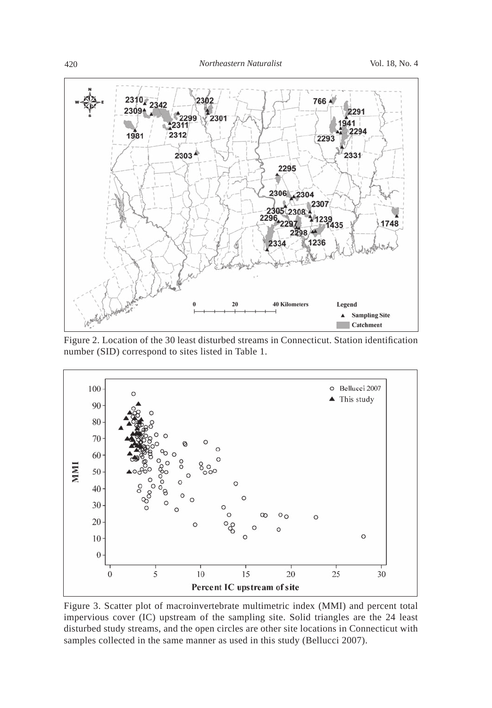

Figure 2. Location of the 30 least disturbed streams in Connecticut. Station identification number (SID) correspond to sites listed in Table 1.



Figure 3. Scatter plot of macroinvertebrate multimetric index (MMI) and percent total impervious cover (IC) upstream of the sampling site. Solid triangles are the 24 least disturbed study streams, and the open circles are other site locations in Connecticut with samples collected in the same manner as used in this study (Bellucci 2007).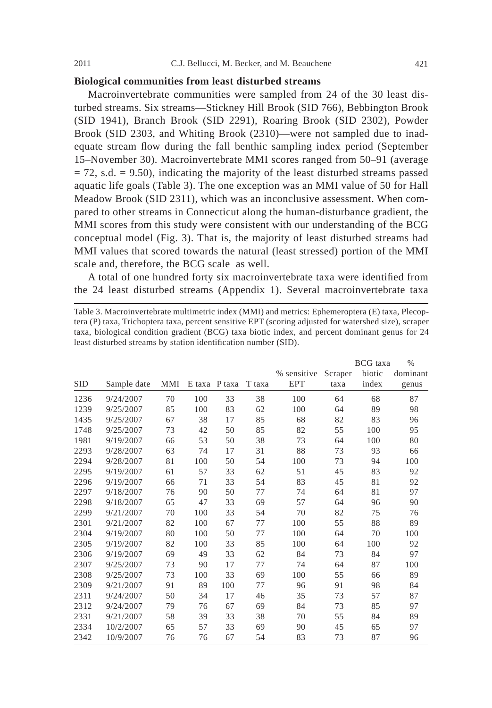### **Biological communities from least disturbed streams**

 Macroinvertebrate communities were sampled from 24 of the 30 least disturbed streams. Six streams—Stickney Hill Brook (SID 766), Bebbington Brook (SID 1941), Branch Brook (SID 2291), Roaring Brook (SID 2302), Powder Brook (SID 2303, and Whiting Brook (2310)—were not sampled due to inadequate stream flow during the fall benthic sampling index period (September 15–November 30). Macroinvertebrate MMI scores ranged from 50–91 (average  $= 72$ , s.d.  $= 9.50$ ), indicating the majority of the least disturbed streams passed aquatic life goals (Table 3). The one exception was an MMI value of 50 for Hall Meadow Brook (SID 2311), which was an inconclusive assessment. When compared to other streams in Connecticut along the human-disturbance gradient, the MMI scores from this study were consistent with our understanding of the BCG conceptual model (Fig. 3). That is, the majority of least disturbed streams had MMI values that scored towards the natural (least stressed) portion of the MMI scale and, therefore, the BCG scale as well.

A total of one hundred forty six macroinvertebrate taxa were identified from the 24 least disturbed streams (Appendix 1). Several macroinvertebrate taxa

Table 3. Macroinvertebrate multimetric index (MMI) and metrics: Ephemeroptera (E) taxa, Plecoptera (P) taxa, Trichoptera taxa, percent sensitive EPT (scoring adjusted for watershed size), scraper taxa, biological condition gradient (BCG) taxa biotic index, and percent dominant genus for 24 least disturbed streams by station identification number (SID).

|            |             |            |     |               |        |             |         | <b>BCG</b> taxa | $\%$     |
|------------|-------------|------------|-----|---------------|--------|-------------|---------|-----------------|----------|
|            |             |            |     |               |        | % sensitive | Scraper | biotic          | dominant |
| <b>SID</b> | Sample date | <b>MMI</b> |     | E taxa P taxa | T taxa | <b>EPT</b>  | taxa    | index           | genus    |
| 1236       | 9/24/2007   | 70         | 100 | 33            | 38     | 100         | 64      | 68              | 87       |
| 1239       | 9/25/2007   | 85         | 100 | 83            | 62     | 100         | 64      | 89              | 98       |
| 1435       | 9/25/2007   | 67         | 38  | 17            | 85     | 68          | 82      | 83              | 96       |
| 1748       | 9/25/2007   | 73         | 42  | 50            | 85     | 82          | 55      | 100             | 95       |
| 1981       | 9/19/2007   | 66         | 53  | 50            | 38     | 73          | 64      | 100             | 80       |
| 2293       | 9/28/2007   | 63         | 74  | 17            | 31     | 88          | 73      | 93              | 66       |
| 2294       | 9/28/2007   | 81         | 100 | 50            | 54     | 100         | 73      | 94              | 100      |
| 2295       | 9/19/2007   | 61         | 57  | 33            | 62     | 51          | 45      | 83              | 92       |
| 2296       | 9/19/2007   | 66         | 71  | 33            | 54     | 83          | 45      | 81              | 92       |
| 2297       | 9/18/2007   | 76         | 90  | 50            | 77     | 74          | 64      | 81              | 97       |
| 2298       | 9/18/2007   | 65         | 47  | 33            | 69     | 57          | 64      | 96              | 90       |
| 2299       | 9/21/2007   | 70         | 100 | 33            | 54     | 70          | 82      | 75              | 76       |
| 2301       | 9/21/2007   | 82         | 100 | 67            | 77     | 100         | 55      | 88              | 89       |
| 2304       | 9/19/2007   | 80         | 100 | 50            | 77     | 100         | 64      | 70              | 100      |
| 2305       | 9/19/2007   | 82         | 100 | 33            | 85     | 100         | 64      | 100             | 92       |
| 2306       | 9/19/2007   | 69         | 49  | 33            | 62     | 84          | 73      | 84              | 97       |
| 2307       | 9/25/2007   | 73         | 90  | 17            | 77     | 74          | 64      | 87              | 100      |
| 2308       | 9/25/2007   | 73         | 100 | 33            | 69     | 100         | 55      | 66              | 89       |
| 2309       | 9/21/2007   | 91         | 89  | 100           | 77     | 96          | 91      | 98              | 84       |
| 2311       | 9/24/2007   | 50         | 34  | 17            | 46     | 35          | 73      | 57              | 87       |
| 2312       | 9/24/2007   | 79         | 76  | 67            | 69     | 84          | 73      | 85              | 97       |
| 2331       | 9/21/2007   | 58         | 39  | 33            | 38     | 70          | 55      | 84              | 89       |
| 2334       | 10/2/2007   | 65         | 57  | 33            | 69     | 90          | 45      | 65              | 97       |
| 2342       | 10/9/2007   | 76         | 76  | 67            | 54     | 83          | 73      | 87              | 96       |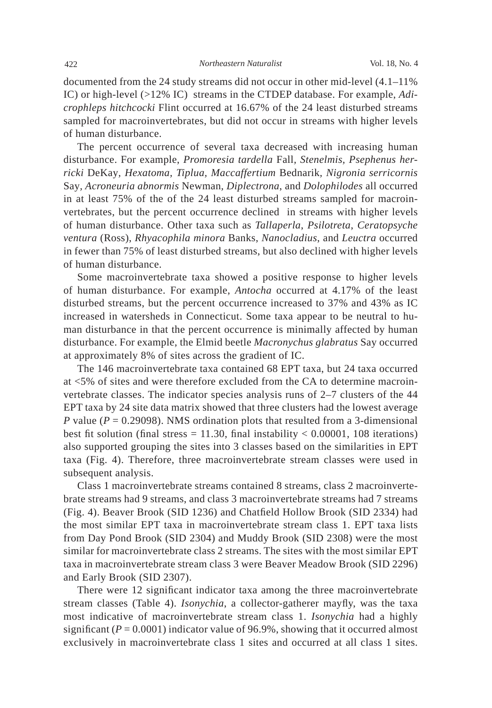documented from the 24 study streams did not occur in other mid-level (4.1–11% IC) or high-level (>12% IC) streams in the CTDEP database. For example, *Adicrophleps hitchcocki* Flint occurred at 16.67% of the 24 least disturbed streams sampled for macroinvertebrates, but did not occur in streams with higher levels of human disturbance.

 The percent occurrence of several taxa decreased with increasing human disturbance. For example, *Promoresia tardella* Fall*, Stenelmis, Psephenus herricki* DeKay*, Hexatoma, Tiplua, Maccaffertium* Bednarik*, Nigronia serricornis*  Say*, Acroneuria abnormis* Newman*, Diplectrona*, and *Dolophilodes* all occurred in at least 75% of the of the 24 least disturbed streams sampled for macroinvertebrates, but the percent occurrence declined in streams with higher levels of human disturbance. Other taxa such as *Tallaperla*, *Psilotreta*, *Ceratopsyche ventura* (Ross), *Rhyacophila minora* Banks, *Nanocladius*, and *Leuctra* occurred in fewer than 75% of least disturbed streams, but also declined with higher levels of human disturbance.

 Some macroinvertebrate taxa showed a positive response to higher levels of human disturbance. For example, *Antocha* occurred at 4.17% of the least disturbed streams, but the percent occurrence increased to 37% and 43% as IC increased in watersheds in Connecticut. Some taxa appear to be neutral to human disturbance in that the percent occurrence is minimally affected by human disturbance. For example, the Elmid beetle *Macronychus glabratus* Say occurred at approximately 8% of sites across the gradient of IC.

 The 146 macroinvertebrate taxa contained 68 EPT taxa, but 24 taxa occurred at <5% of sites and were therefore excluded from the CA to determine macroinvertebrate classes. The indicator species analysis runs of 2–7 clusters of the 44 EPT taxa by 24 site data matrix showed that three clusters had the lowest average *P* value (*P* = 0.29098). NMS ordination plots that resulted from a 3-dimensional best fit solution (final stress = 11.30, final instability  $< 0.00001$ , 108 iterations) also supported grouping the sites into 3 classes based on the similarities in EPT taxa (Fig. 4). Therefore, three macroinvertebrate stream classes were used in subsequent analysis.

 Class 1 macroinvertebrate streams contained 8 streams, class 2 macroinvertebrate streams had 9 streams, and class 3 macroinvertebrate streams had 7 streams (Fig. 4). Beaver Brook (SID 1236) and Chatfield Hollow Brook (SID 2334) had the most similar EPT taxa in macroinvertebrate stream class 1. EPT taxa lists from Day Pond Brook (SID 2304) and Muddy Brook (SID 2308) were the most similar for macroinvertebrate class 2 streams. The sites with the most similar EPT taxa in macroinvertebrate stream class 3 were Beaver Meadow Brook (SID 2296) and Early Brook (SID 2307).

There were 12 significant indicator taxa among the three macroinvertebrate stream classes (Table 4). *Isonychia*, a collector-gatherer mayfly, was the taxa most indicative of macroinvertebrate stream class 1. *Isonychia* had a highly significant  $(P = 0.0001)$  indicator value of 96.9%, showing that it occurred almost exclusively in macroinvertebrate class 1 sites and occurred at all class 1 sites.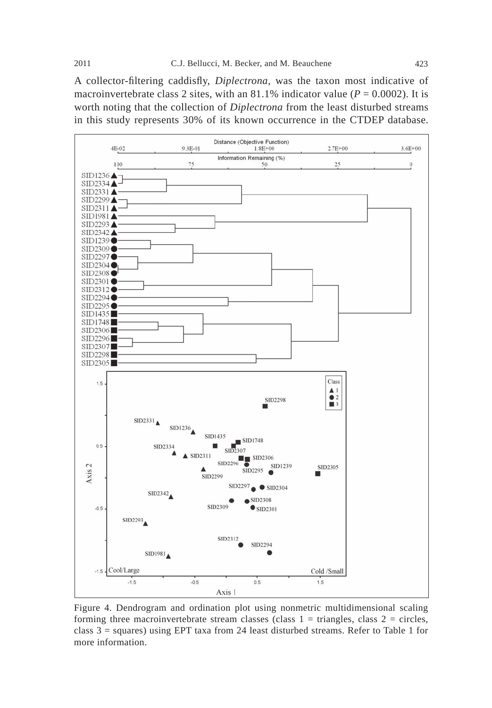A collector-filtering caddisfly, *Diplectrona*, was the taxon most indicative of macroinvertebrate class 2 sites, with an 81.1% indicator value ( $P = 0.0002$ ). It is worth noting that the collection of *Diplectrona* from the least disturbed streams in this study represents 30% of its known occurrence in the CTDEP database.



Figure 4. Dendrogram and ordination plot using nonmetric multidimensional scaling forming three macroinvertebrate stream classes (class  $1 = \text{triangles}$ , class  $2 = \text{circles}$ , class 3 = squares) using EPT taxa from 24 least disturbed streams. Refer to Table 1 for more information.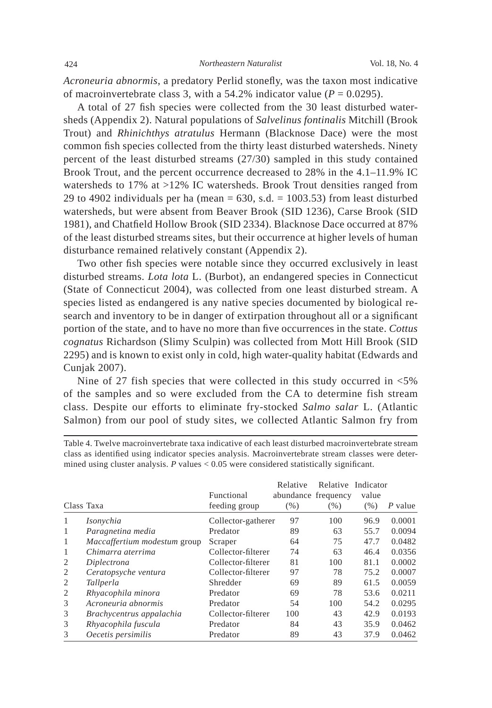*Acroneuria abnormis*, a predatory Perlid stonefly, was the taxon most indicative of macroinvertebrate class 3, with a 54.2% indicator value ( $P = 0.0295$ ).

A total of 27 fish species were collected from the 30 least disturbed watersheds (Appendix 2). Natural populations of *Salvelinus fontinalis* Mitchill (Brook Trout) and *Rhinichthys atratulus* Hermann (Blacknose Dace) were the most common fish species collected from the thirty least disturbed watersheds. Ninety percent of the least disturbed streams (27/30) sampled in this study contained Brook Trout, and the percent occurrence decreased to 28% in the 4.1–11.9% IC watersheds to 17% at >12% IC watersheds. Brook Trout densities ranged from 29 to 4902 individuals per ha (mean  $= 630$ , s.d.  $= 1003.53$ ) from least disturbed watersheds, but were absent from Beaver Brook (SID 1236), Carse Brook (SID 1981), and Chatfield Hollow Brook (SID 2334). Blacknose Dace occurred at 87% of the least disturbed streams sites, but their occurrence at higher levels of human disturbance remained relatively constant (Appendix 2).

Two other fish species were notable since they occurred exclusively in least disturbed streams. *Lota lota* L. (Burbot), an endangered species in Connecticut (State of Connecticut 2004), was collected from one least disturbed stream. A species listed as endangered is any native species documented by biological research and inventory to be in danger of extirpation throughout all or a significant portion of the state, and to have no more than five occurrences in the state. *Cottus cognatus* Richardson (Slimy Sculpin) was collected from Mott Hill Brook (SID 2295) and is known to exist only in cold, high water-quality habitat (Edwards and Cunjak 2007).

Nine of 27 fish species that were collected in this study occurred in  $\langle 5\%$ of the samples and so were excluded from the CA to determine fish stream class. Despite our efforts to eliminate fry-stocked *Salmo salar* L. (Atlantic Salmon) from our pool of study sites, we collected Atlantic Salmon fry from

|            |                              |                    | Relative            | Relative Indicator |       |         |
|------------|------------------------------|--------------------|---------------------|--------------------|-------|---------|
|            |                              | Functional         | abundance frequency |                    | value |         |
| Class Taxa |                              | feeding group      | (% )                | $(\% )$            | (% )  | P value |
| 1          | Isonychia                    | Collector-gatherer | 97                  | 100                | 96.9  | 0.0001  |
| 1          | Paragnetina media            | Predator           | 89                  | 63                 | 55.7  | 0.0094  |
| 1          | Maccaffertium modestum group | Scraper            | 64                  | 75                 | 47.7  | 0.0482  |
| 1          | Chimarra aterrima            | Collector-filterer | 74                  | 63                 | 46.4  | 0.0356  |
| 2          | Diplectrona                  | Collector-filterer | 81                  | 100                | 81.1  | 0.0002  |
| 2          | Ceratopsyche ventura         | Collector-filterer | 97                  | 78                 | 75.2  | 0.0007  |
| 2          | Tallperla                    | Shredder           | 69                  | 89                 | 61.5  | 0.0059  |
| 2          | Rhyacophila minora           | Predator           | 69                  | 78                 | 53.6  | 0.0211  |
| 3          | Acroneuria abnormis          | Predator           | 54                  | 100                | 54.2  | 0.0295  |
| 3          | Brachycentrus appalachia     | Collector-filterer | 100                 | 43                 | 42.9  | 0.0193  |
| 3          | Rhyacophila fuscula          | Predator           | 84                  | 43                 | 35.9  | 0.0462  |
| 3          | Oecetis persimilis           | Predator           | 89                  | 43                 | 37.9  | 0.0462  |

Table 4. Twelve macroinvertebrate taxa indicative of each least disturbed macroinvertebrate stream class as identified using indicator species analysis. Macroinvertebrate stream classes were determined using cluster analysis.  $P$  values  $< 0.05$  were considered statistically significant.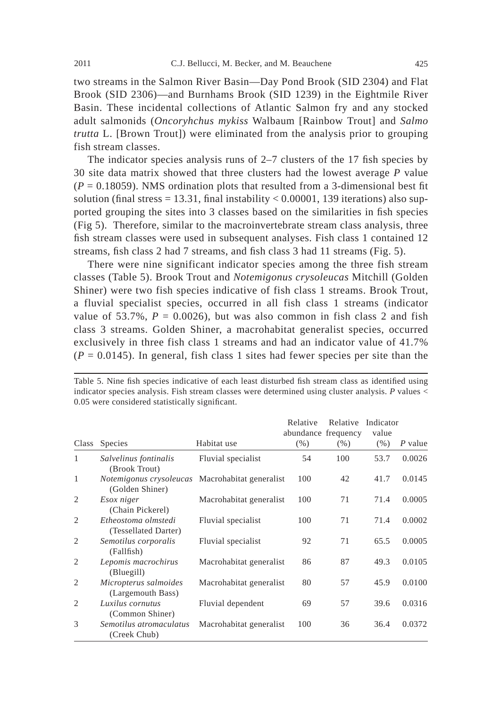two streams in the Salmon River Basin—Day Pond Brook (SID 2304) and Flat Brook (SID 2306)—and Burnhams Brook (SID 1239) in the Eightmile River Basin. These incidental collections of Atlantic Salmon fry and any stocked adult salmonids (*Oncoryhchus mykiss* Walbaum [Rainbow Trout] and *Salmo trutta* L. [Brown Trout]) were eliminated from the analysis prior to grouping fish stream classes.

The indicator species analysis runs of  $2-7$  clusters of the 17 fish species by 30 site data matrix showed that three clusters had the lowest average *P* value  $(P = 0.18059)$ . NMS ordination plots that resulted from a 3-dimensional best fit solution (final stress  $= 13.31$ , final instability  $< 0.00001$ , 139 iterations) also supported grouping the sites into 3 classes based on the similarities in fish species (Fig 5). Therefore, similar to the macroinvertebrate stream class analysis, three fish stream classes were used in subsequent analyses. Fish class 1 contained 12 streams, fish class 2 had 7 streams, and fish class 3 had 11 streams (Fig. 5).

 There were nine significant indicator species among the three fish stream classes (Table 5). Brook Trout and *Notemigonus crysoleucas* Mitchill (Golden Shiner) were two fish species indicative of fish class 1 streams. Brook Trout, a fluvial specialist species, occurred in all fish class 1 streams (indicator value of 53.7%,  $P = 0.0026$ , but was also common in fish class 2 and fish class 3 streams. Golden Shiner, a macrohabitat generalist species, occurred exclusively in three fish class 1 streams and had an indicator value of 41.7%  $(P = 0.0145)$ . In general, fish class 1 sites had fewer species per site than the

| Class          | <b>Species</b>                              | Habitat use             | Relative<br>abundance frequency<br>(% ) | Relative<br>(% ) | Indicator<br>value<br>(% ) | P value |
|----------------|---------------------------------------------|-------------------------|-----------------------------------------|------------------|----------------------------|---------|
| 1              | Salvelinus fontinalis<br>(Brook Trout)      | Fluvial specialist      | 54                                      | 100              | 53.7                       | 0.0026  |
| -1             | Notemigonus crysoleucas<br>(Golden Shiner)  | Macrohabitat generalist | 100                                     | 42               | 41.7                       | 0.0145  |
| 2              | Esox niger<br>(Chain Pickerel)              | Macrohabitat generalist | 100                                     | 71               | 71.4                       | 0.0005  |
| 2              | Etheostoma olmstedi<br>(Tessellated Darter) | Fluvial specialist      | 100                                     | 71               | 71.4                       | 0.0002  |
| 2              | Semotilus corporalis<br>(Fallfish)          | Fluvial specialist      | 92                                      | 71               | 65.5                       | 0.0005  |
| 2              | Lepomis macrochirus<br>(Bluegill)           | Macrohabitat generalist | 86                                      | 87               | 49.3                       | 0.0105  |
| 2              | Micropterus salmoides<br>(Largemouth Bass)  | Macrohabitat generalist | 80                                      | 57               | 45.9                       | 0.0100  |
| $\overline{2}$ | Luxilus cornutus<br>(Common Shiner)         | Fluvial dependent       | 69                                      | 57               | 39.6                       | 0.0316  |
| 3              | Semotilus atromaculatus<br>(Creek Chub)     | Macrohabitat generalist | 100                                     | 36               | 36.4                       | 0.0372  |

Table 5. Nine fish species indicative of each least disturbed fish stream class as identified using indicator species analysis. Fish stream classes were determined using cluster analysis. *P* values < 0.05 were considered statistically significant.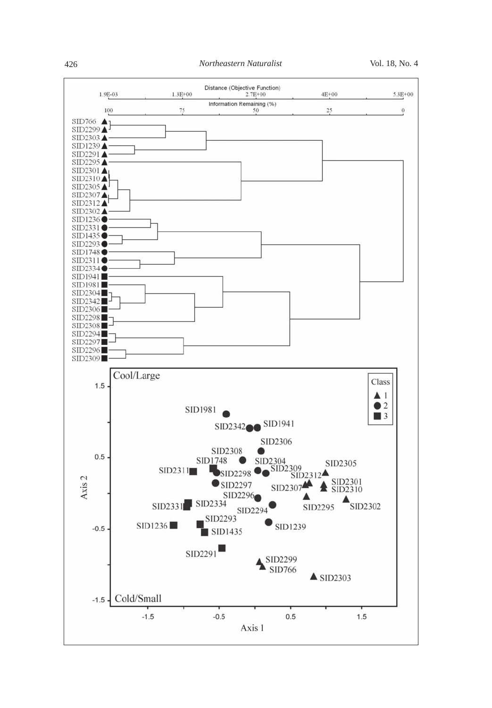*Northeastern Naturalist* Vol. 18, No. 4

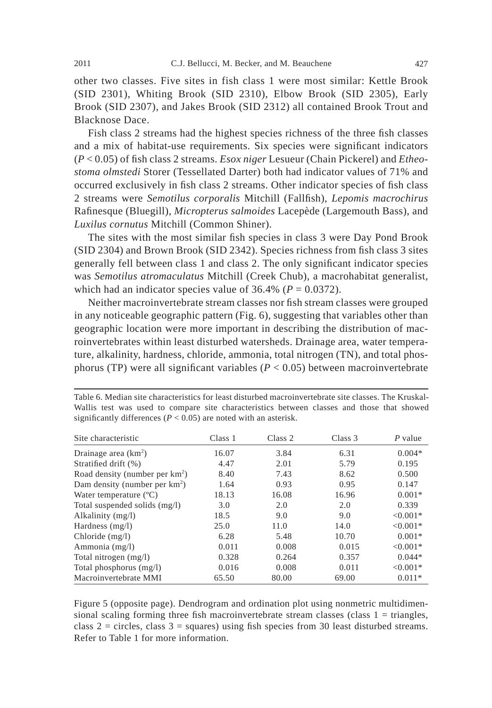other two classes. Five sites in fish class 1 were most similar: Kettle Brook (SID 2301), Whiting Brook (SID 2310), Elbow Brook (SID 2305), Early Brook (SID 2307), and Jakes Brook (SID 2312) all contained Brook Trout and Blacknose Dace.

Fish class 2 streams had the highest species richness of the three fish classes and a mix of habitat-use requirements. Six species were significant indicators ( $P < 0.05$ ) of fish class 2 streams. *Esox niger* Lesueur (Chain Pickerel) and *Etheostoma olmstedi* Storer (Tessellated Darter) both had indicator values of 71% and occurred exclusively in fish class 2 streams. Other indicator species of fish class 2 streams were *Semotilus corporalis* Mitchill (Fallfish), *Lepomis macrochirus* Rafinesque (Bluegill), *Micropterus salmoides* Lacepède (Largemouth Bass), and *Luxilus cornutus* Mitchill (Common Shiner).

The sites with the most similar fish species in class 3 were Day Pond Brook (SID 2304) and Brown Brook (SID 2342). Species richness from fish class 3 sites generally fell between class 1 and class 2. The only significant indicator species was *Semotilus atromaculatus* Mitchill (Creek Chub), a macrohabitat generalist, which had an indicator species value of  $36.4\%$  ( $P = 0.0372$ ).

Neither macroinvertebrate stream classes nor fish stream classes were grouped in any noticeable geographic pattern (Fig. 6), suggesting that variables other than geographic location were more important in describing the distribution of macroinvertebrates within least disturbed watersheds. Drainage area, water temperature, alkalinity, hardness, chloride, ammonia, total nitrogen (TN), and total phosphorus (TP) were all significant variables ( $P < 0.05$ ) between macroinvertebrate

| Site characteristic               | Class 1 | Class 2 | Class 3 | P value    |
|-----------------------------------|---------|---------|---------|------------|
| Drainage area $(km^2)$            | 16.07   | 3.84    | 6.31    | $0.004*$   |
| Stratified drift (%)              | 4.47    | 2.01    | 5.79    | 0.195      |
| Road density (number per $km^2$ ) | 8.40    | 7.43    | 8.62    | 0.500      |
| Dam density (number per $km^2$ )  | 1.64    | 0.93    | 0.95    | 0.147      |
| Water temperature $(^{\circ}C)$   | 18.13   | 16.08   | 16.96   | $0.001*$   |
| Total suspended solids (mg/l)     | 3.0     | 2.0     | 2.0     | 0.339      |
| Alkalinity (mg/l)                 | 18.5    | 9.0     | 9.0     | $< 0.001*$ |
| Hardness $(mg/l)$                 | 25.0    | 11.0    | 14.0    | $< 0.001*$ |
| Chloride $(mg/l)$                 | 6.28    | 5.48    | 10.70   | $0.001*$   |
| Ammonia (mg/l)                    | 0.011   | 0.008   | 0.015   | $< 0.001*$ |
| Total nitrogen (mg/l)             | 0.328   | 0.264   | 0.357   | $0.044*$   |
| Total phosphorus (mg/l)           | 0.016   | 0.008   | 0.011   | $< 0.001*$ |
| Macroinvertebrate MMI             | 65.50   | 80.00   | 69.00   | $0.011*$   |

Table 6. Median site characteristics for least disturbed macroinvertebrate site classes. The Kruskal-Wallis test was used to compare site characteristics between classes and those that showed significantly differences  $(P < 0.05)$  are noted with an asterisk.

Figure 5 (opposite page). Dendrogram and ordination plot using nonmetric multidimensional scaling forming three fish macroinvertebrate stream classes (class  $1 = \text{triangles}$ , class  $2 =$  circles, class  $3 =$  squares) using fish species from 30 least disturbed streams. Refer to Table 1 for more information.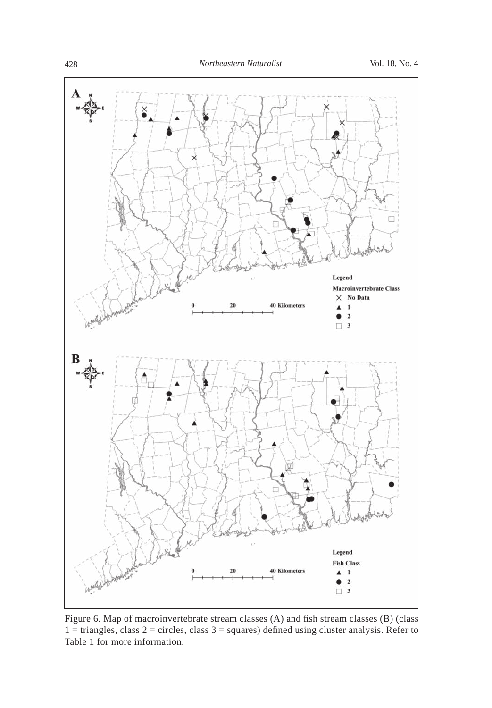

Figure 6. Map of macroinvertebrate stream classes (A) and fish stream classes (B) (class  $1 = \text{triangles}$ , class  $2 = \text{circles}$ , class  $3 = \text{square}$ ) defined using cluster analysis. Refer to Table 1 for more information.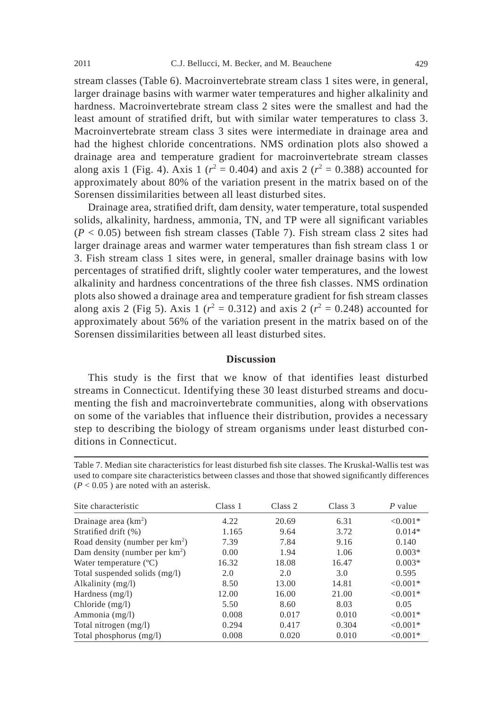stream classes (Table 6). Macroinvertebrate stream class 1 sites were, in general, larger drainage basins with warmer water temperatures and higher alkalinity and hardness. Macroinvertebrate stream class 2 sites were the smallest and had the least amount of stratified drift, but with similar water temperatures to class 3. Macroinvertebrate stream class 3 sites were intermediate in drainage area and had the highest chloride concentrations. NMS ordination plots also showed a drainage area and temperature gradient for macroinvertebrate stream classes along axis 1 (Fig. 4). Axis 1 ( $r^2 = 0.404$ ) and axis 2 ( $r^2 = 0.388$ ) accounted for approximately about 80% of the variation present in the matrix based on of the Sorensen dissimilarities between all least disturbed sites.

Drainage area, stratified drift, dam density, water temperature, total suspended solids, alkalinity, hardness, ammonia, TN, and TP were all significant variables  $(P < 0.05)$  between fish stream classes (Table 7). Fish stream class 2 sites had larger drainage areas and warmer water temperatures than fish stream class 1 or 3. Fish stream class 1 sites were, in general, smaller drainage basins with low percentages of stratified drift, slightly cooler water temperatures, and the lowest alkalinity and hardness concentrations of the three fish classes. NMS ordination plots also showed a drainage area and temperature gradient for fish stream classes along axis 2 (Fig 5). Axis 1 ( $r^2 = 0.312$ ) and axis 2 ( $r^2 = 0.248$ ) accounted for approximately about 56% of the variation present in the matrix based on of the Sorensen dissimilarities between all least disturbed sites.

## **Discussion**

 This study is the first that we know of that identifies least disturbed streams in Connecticut. Identifying these 30 least disturbed streams and documenting the fish and macroinvertebrate communities, along with observations on some of the variables that influence their distribution, provides a necessary step to describing the biology of stream organisms under least disturbed conditions in Connecticut.

Table 7. Median site characteristics for least disturbed fish site classes. The Kruskal-Wallis test was used to compare site characteristics between classes and those that showed significantly differences  $(P < 0.05)$  are noted with an asterisk.

| Site characteristic                        | Class 1 | Class 2 | Class 3 | $P$ value  |
|--------------------------------------------|---------|---------|---------|------------|
| Drainage area $(km^2)$                     | 4.22    | 20.69   | 6.31    | $< 0.001*$ |
| Stratified drift (%)                       | 1.165   | 9.64    | 3.72    | $0.014*$   |
| Road density (number per km <sup>2</sup> ) | 7.39    | 7.84    | 9.16    | 0.140      |
| Dam density (number per $km^2$ )           | 0.00    | 1.94    | 1.06    | $0.003*$   |
| Water temperature $(C)$                    | 16.32   | 18.08   | 16.47   | $0.003*$   |
| Total suspended solids (mg/l)              | 2.0     | 2.0     | 3.0     | 0.595      |
| Alkalinity (mg/l)                          | 8.50    | 13.00   | 14.81   | $< 0.001*$ |
| Hardness $(mg/l)$                          | 12.00   | 16.00   | 21.00   | $< 0.001*$ |
| Chloride $(mg/l)$                          | 5.50    | 8.60    | 8.03    | 0.05       |
| Ammonia (mg/l)                             | 0.008   | 0.017   | 0.010   | $< 0.001*$ |
| Total nitrogen $(mg/l)$                    | 0.294   | 0.417   | 0.304   | $< 0.001*$ |
| Total phosphorus $(mg/l)$                  | 0.008   | 0.020   | 0.010   | $< 0.001*$ |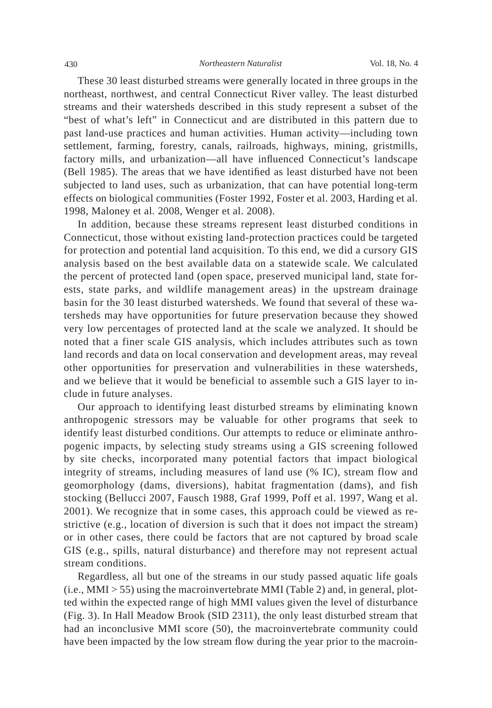#### 430 *Northeastern Naturalist* Vol. 18, No. 4

 These 30 least disturbed streams were generally located in three groups in the northeast, northwest, and central Connecticut River valley. The least disturbed streams and their watersheds described in this study represent a subset of the "best of what's left" in Connecticut and are distributed in this pattern due to past land-use practices and human activities. Human activity—including town settlement, farming, forestry, canals, railroads, highways, mining, gristmills, factory mills, and urbanization—all have influenced Connecticut's landscape (Bell 1985). The areas that we have identified as least disturbed have not been subjected to land uses, such as urbanization, that can have potential long-term effects on biological communities (Foster 1992, Foster et al. 2003, Harding et al. 1998, Maloney et al. 2008, Wenger et al. 2008).

 In addition, because these streams represent least disturbed conditions in Connecticut, those without existing land-protection practices could be targeted for protection and potential land acquisition. To this end, we did a cursory GIS analysis based on the best available data on a statewide scale. We calculated the percent of protected land (open space, preserved municipal land, state forests, state parks, and wildlife management areas) in the upstream drainage basin for the 30 least disturbed watersheds. We found that several of these watersheds may have opportunities for future preservation because they showed very low percentages of protected land at the scale we analyzed. It should be noted that a finer scale GIS analysis, which includes attributes such as town land records and data on local conservation and development areas, may reveal other opportunities for preservation and vulnerabilities in these watersheds, and we believe that it would be beneficial to assemble such a GIS layer to include in future analyses.

 Our approach to identifying least disturbed streams by eliminating known anthropogenic stressors may be valuable for other programs that seek to identify least disturbed conditions. Our attempts to reduce or eliminate anthropogenic impacts, by selecting study streams using a GIS screening followed by site checks, incorporated many potential factors that impact biological integrity of streams, including measures of land use (% IC), stream flow and geomorphology (dams, diversions), habitat fragmentation (dams), and fish stocking (Bellucci 2007, Fausch 1988, Graf 1999, Poff et al. 1997, Wang et al. 2001). We recognize that in some cases, this approach could be viewed as restrictive (e.g., location of diversion is such that it does not impact the stream) or in other cases, there could be factors that are not captured by broad scale GIS (e.g., spills, natural disturbance) and therefore may not represent actual stream conditions.

 Regardless, all but one of the streams in our study passed aquatic life goals  $(i.e., MMI > 55)$  using the macroinvertebrate MMI (Table 2) and, in general, plotted within the expected range of high MMI values given the level of disturbance (Fig. 3). In Hall Meadow Brook (SID 2311), the only least disturbed stream that had an inconclusive MMI score (50), the macroinvertebrate community could have been impacted by the low stream flow during the year prior to the macroin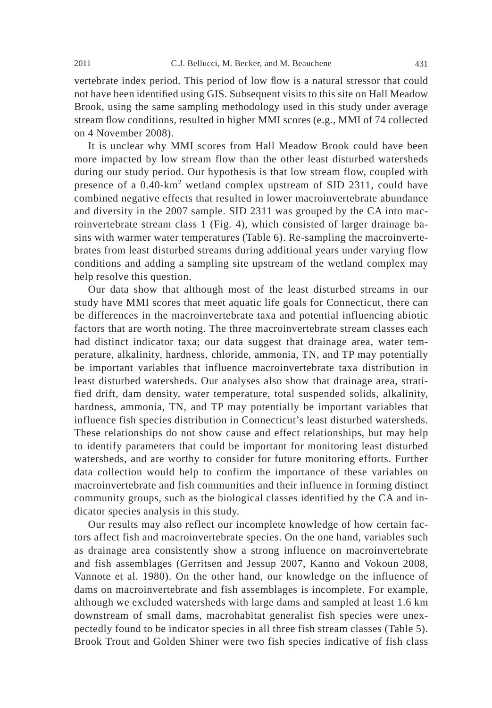vertebrate index period. This period of low flow is a natural stressor that could not have been identified using GIS. Subsequent visits to this site on Hall Meadow Brook, using the same sampling methodology used in this study under average stream flow conditions, resulted in higher MMI scores (e.g., MMI of 74 collected on 4 November 2008).

 It is unclear why MMI scores from Hall Meadow Brook could have been more impacted by low stream flow than the other least disturbed watersheds during our study period. Our hypothesis is that low stream flow, coupled with presence of a 0.40-km<sup>2</sup> wetland complex upstream of SID 2311, could have combined negative effects that resulted in lower macroinvertebrate abundance and diversity in the 2007 sample. SID 2311 was grouped by the CA into macroinvertebrate stream class 1 (Fig. 4), which consisted of larger drainage basins with warmer water temperatures (Table 6). Re-sampling the macroinvertebrates from least disturbed streams during additional years under varying flow conditions and adding a sampling site upstream of the wetland complex may help resolve this question.

 Our data show that although most of the least disturbed streams in our study have MMI scores that meet aquatic life goals for Connecticut, there can be differences in the macroinvertebrate taxa and potential influencing abiotic factors that are worth noting. The three macroinvertebrate stream classes each had distinct indicator taxa; our data suggest that drainage area, water temperature, alkalinity, hardness, chloride, ammonia, TN, and TP may potentially be important variables that influence macroinvertebrate taxa distribution in least disturbed watersheds. Our analyses also show that drainage area, stratified drift, dam density, water temperature, total suspended solids, alkalinity, hardness, ammonia, TN, and TP may potentially be important variables that influence fish species distribution in Connecticut's least disturbed watersheds. These relationships do not show cause and effect relationships, but may help to identify parameters that could be important for monitoring least disturbed watersheds, and are worthy to consider for future monitoring efforts. Further data collection would help to confirm the importance of these variables on macroinvertebrate and fish communities and their influence in forming distinct community groups, such as the biological classes identified by the CA and indicator species analysis in this study.

 Our results may also reflect our incomplete knowledge of how certain factors affect fish and macroinvertebrate species. On the one hand, variables such as drainage area consistently show a strong influence on macroinvertebrate and fish assemblages (Gerritsen and Jessup 2007, Kanno and Vokoun 2008, Vannote et al. 1980). On the other hand, our knowledge on the influence of dams on macroinvertebrate and fish assemblages is incomplete. For example, although we excluded watersheds with large dams and sampled at least 1.6 km downstream of small dams, macrohabitat generalist fish species were unexpectedly found to be indicator species in all three fish stream classes (Table 5). Brook Trout and Golden Shiner were two fish species indicative of fish class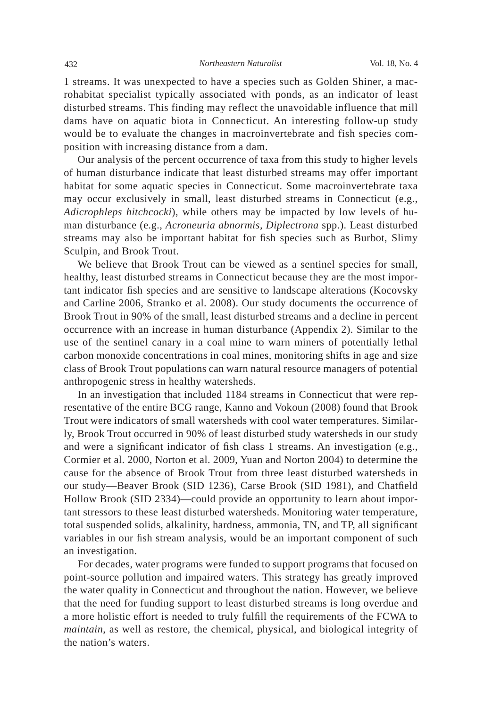1 streams. It was unexpected to have a species such as Golden Shiner, a macrohabitat specialist typically associated with ponds, as an indicator of least disturbed streams. This finding may reflect the unavoidable influence that mill dams have on aquatic biota in Connecticut. An interesting follow-up study would be to evaluate the changes in macroinvertebrate and fish species composition with increasing distance from a dam.

 Our analysis of the percent occurrence of taxa from this study to higher levels of human disturbance indicate that least disturbed streams may offer important habitat for some aquatic species in Connecticut. Some macroinvertebrate taxa may occur exclusively in small, least disturbed streams in Connecticut (e.g., *Adicrophleps hitchcocki*), while others may be impacted by low levels of human disturbance (e.g., *Acroneuria abnormis, Diplectrona* spp.). Least disturbed streams may also be important habitat for fish species such as Burbot, Slimy Sculpin, and Brook Trout.

 We believe that Brook Trout can be viewed as a sentinel species for small, healthy, least disturbed streams in Connecticut because they are the most important indicator fish species and are sensitive to landscape alterations (Kocovsky and Carline 2006, Stranko et al. 2008). Our study documents the occurrence of Brook Trout in 90% of the small, least disturbed streams and a decline in percent occurrence with an increase in human disturbance (Appendix 2). Similar to the use of the sentinel canary in a coal mine to warn miners of potentially lethal carbon monoxide concentrations in coal mines, monitoring shifts in age and size class of Brook Trout populations can warn natural resource managers of potential anthropogenic stress in healthy watersheds.

 In an investigation that included 1184 streams in Connecticut that were representative of the entire BCG range, Kanno and Vokoun (2008) found that Brook Trout were indicators of small watersheds with cool water temperatures. Similarly, Brook Trout occurred in 90% of least disturbed study watersheds in our study and were a significant indicator of fish class 1 streams. An investigation (e.g., Cormier et al. 2000, Norton et al. 2009, Yuan and Norton 2004) to determine the cause for the absence of Brook Trout from three least disturbed watersheds in our study—Beaver Brook (SID 1236), Carse Brook (SID 1981), and Chatfield Hollow Brook (SID 2334)—could provide an opportunity to learn about important stressors to these least disturbed watersheds. Monitoring water temperature, total suspended solids, alkalinity, hardness, ammonia, TN, and TP, all significant variables in our fish stream analysis, would be an important component of such an investigation.

 For decades, water programs were funded to support programs that focused on point-source pollution and impaired waters. This strategy has greatly improved the water quality in Connecticut and throughout the nation. However, we believe that the need for funding support to least disturbed streams is long overdue and a more holistic effort is needed to truly fulfill the requirements of the FCWA to *maintain*, as well as restore, the chemical, physical, and biological integrity of the nation's waters.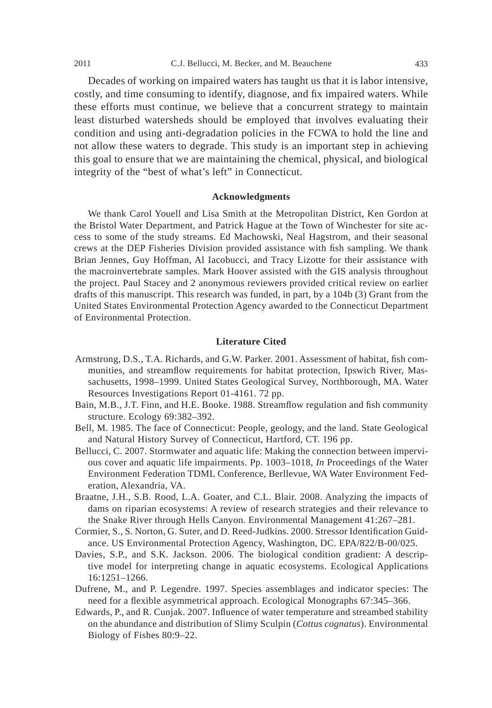Decades of working on impaired waters has taught us that it is labor intensive, costly, and time consuming to identify, diagnose, and fix impaired waters. While these efforts must continue, we believe that a concurrent strategy to maintain least disturbed watersheds should be employed that involves evaluating their condition and using anti-degradation policies in the FCWA to hold the line and not allow these waters to degrade. This study is an important step in achieving this goal to ensure that we are maintaining the chemical, physical, and biological integrity of the "best of what's left" in Connecticut.

#### **Acknowledgments**

 We thank Carol Youell and Lisa Smith at the Metropolitan District, Ken Gordon at the Bristol Water Department, and Patrick Hague at the Town of Winchester for site access to some of the study streams. Ed Machowski, Neal Hagstrom, and their seasonal crews at the DEP Fisheries Division provided assistance with fish sampling. We thank Brian Jennes, Guy Hoffman, Al Iacobucci, and Tracy Lizotte for their assistance with the macroinvertebrate samples. Mark Hoover assisted with the GIS analysis throughout the project. Paul Stacey and 2 anonymous reviewers provided critical review on earlier drafts of this manuscript. This research was funded, in part, by a 104b (3) Grant from the United States Environmental Protection Agency awarded to the Connecticut Department of Environmental Protection.

#### **Literature Cited**

- Armstrong, D.S., T.A. Richards, and G.W. Parker. 2001. Assessment of habitat, fish communities, and streamflow requirements for habitat protection, Ipswich River, Massachusetts, 1998–1999. United States Geological Survey, Northborough, MA. Water Resources Investigations Report 01-4161. 72 pp.
- Bain, M.B., J.T. Finn, and H.E. Booke. 1988. Streamflow regulation and fish community structure. Ecology 69:382–392.
- Bell, M. 1985. The face of Connecticut: People, geology, and the land. State Geological and Natural History Survey of Connecticut, Hartford, CT. 196 pp.
- Bellucci, C. 2007. Stormwater and aquatic life: Making the connection between impervious cover and aquatic life impairments. Pp. 1003–1018, *In* Proceedings of the Water Environment Federation TDML Conference, Berllevue, WA Water Environment Federation, Alexandria, VA.
- Braatne, J.H., S.B. Rood, L.A. Goater, and C.L. Blair. 2008. Analyzing the impacts of dams on riparian ecosystems: A review of research strategies and their relevance to the Snake River through Hells Canyon. Environmental Management 41:267–281.
- Cormier, S., S. Norton, G. Suter, and D. Reed-Judkins. 2000. Stressor Identification Guidance. US Environmental Protection Agency, Washington, DC. EPA/822/B-00/025.
- Davies, S.P., and S.K. Jackson. 2006. The biological condition gradient: A descriptive model for interpreting change in aquatic ecosystems. Ecological Applications 16:1251–1266.
- Dufrene, M., and P. Legendre. 1997. Species assemblages and indicator species: The need for a flexible asymmetrical approach. Ecological Monographs 67:345-366.
- Edwards, P., and R. Cunjak. 2007. Influence of water temperature and streambed stability on the abundance and distribution of Slimy Sculpin (*Cottus cognatus*). Environmental Biology of Fishes 80:9–22.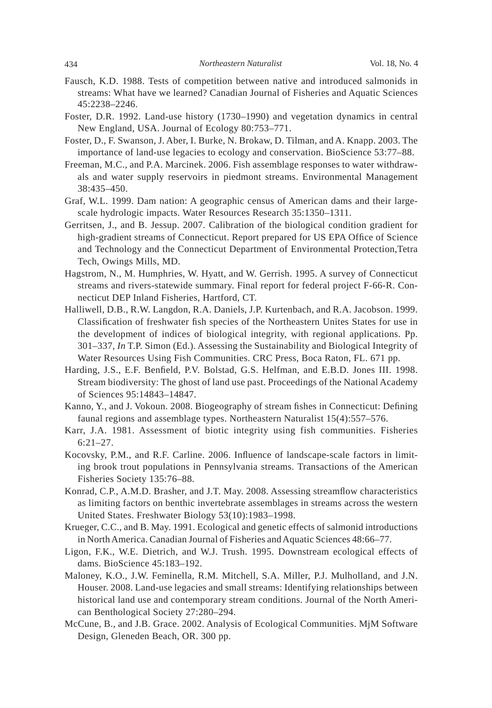- Fausch, K.D. 1988. Tests of competition between native and introduced salmonids in streams: What have we learned? Canadian Journal of Fisheries and Aquatic Sciences 45:2238–2246.
- Foster, D.R. 1992. Land-use history (1730–1990) and vegetation dynamics in central New England, USA. Journal of Ecology 80:753–771.
- Foster, D., F. Swanson, J. Aber, I. Burke, N. Brokaw, D. Tilman, and A. Knapp. 2003. The importance of land-use legacies to ecology and conservation. BioScience 53:77–88.
- Freeman, M.C., and P.A. Marcinek. 2006. Fish assemblage responses to water withdrawals and water supply reservoirs in piedmont streams. Environmental Management 38:435–450.
- Graf, W.L. 1999. Dam nation: A geographic census of American dams and their largescale hydrologic impacts. Water Resources Research 35:1350–1311.
- Gerritsen, J., and B. Jessup. 2007. Calibration of the biological condition gradient for high-gradient streams of Connecticut. Report prepared for US EPA Office of Science and Technology and the Connecticut Department of Environmental Protection,Tetra Tech, Owings Mills, MD.
- Hagstrom, N., M. Humphries, W. Hyatt, and W. Gerrish. 1995. A survey of Connecticut streams and rivers-statewide summary. Final report for federal project F-66-R. Connecticut DEP Inland Fisheries, Hartford, CT.
- Halliwell, D.B., R.W. Langdon, R.A. Daniels, J.P. Kurtenbach, and R.A. Jacobson. 1999. Classification of freshwater fish species of the Northeastern Unites States for use in the development of indices of biological integrity, with regional applications. Pp. 301–337, *In* T.P. Simon (Ed.). Assessing the Sustainability and Biological Integrity of Water Resources Using Fish Communities. CRC Press, Boca Raton, FL. 671 pp.
- Harding, J.S., E.F. Benfield, P.V. Bolstad, G.S. Helfman, and E.B.D. Jones III. 1998. Stream biodiversity: The ghost of land use past. Proceedings of the National Academy of Sciences 95:14843–14847.
- Kanno, Y., and J. Vokoun. 2008. Biogeography of stream fishes in Connecticut: Defining faunal regions and assemblage types. Northeastern Naturalist 15(4):557–576.
- Karr, J.A. 1981. Assessment of biotic integrity using fish communities. Fisheries 6:21–27.
- Kocovsky, P.M., and R.F. Carline. 2006. Influence of landscape-scale factors in limiting brook trout populations in Pennsylvania streams. Transactions of the American Fisheries Society 135:76–88.
- Konrad, C.P., A.M.D. Brasher, and J.T. May. 2008. Assessing streamflow characteristics as limiting factors on benthic invertebrate assemblages in streams across the western United States. Freshwater Biology 53(10):1983–1998.
- Krueger, C.C., and B. May. 1991. Ecological and genetic effects of salmonid introductions in North America. Canadian Journal of Fisheries and Aquatic Sciences 48:66–77.
- Ligon, F.K., W.E. Dietrich, and W.J. Trush. 1995. Downstream ecological effects of dams. BioScience 45:183–192.
- Maloney, K.O., J.W. Feminella, R.M. Mitchell, S.A. Miller, P.J. Mulholland, and J.N. Houser. 2008. Land-use legacies and small streams: Identifying relationships between historical land use and contemporary stream conditions. Journal of the North American Benthological Society 27:280–294.
- McCune, B., and J.B. Grace. 2002. Analysis of Ecological Communities. MjM Software Design, Gleneden Beach, OR. 300 pp.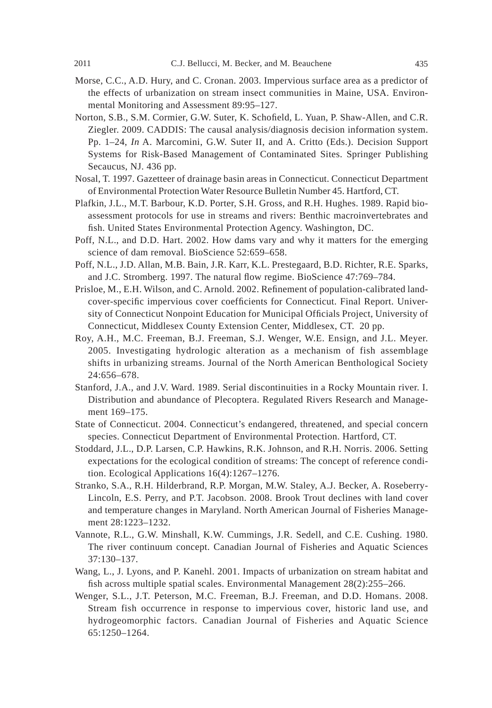- Morse, C.C., A.D. Hury, and C. Cronan. 2003. Impervious surface area as a predictor of the effects of urbanization on stream insect communities in Maine, USA. Environmental Monitoring and Assessment 89:95–127.
- Norton, S.B., S.M. Cormier, G.W. Suter, K. Schofield, L. Yuan, P. Shaw-Allen, and C.R. Ziegler. 2009. CADDIS: The causal analysis/diagnosis decision information system. Pp. 1–24, *In* A. Marcomini, G.W. Suter II, and A. Critto (Eds.). Decision Support Systems for Risk-Based Management of Contaminated Sites. Springer Publishing Secaucus, NJ. 436 pp.
- Nosal, T. 1997. Gazetteer of drainage basin areas in Connecticut. Connecticut Department of Environmental Protection Water Resource Bulletin Number 45. Hartford, CT.
- Plafkin, J.L., M.T. Barbour, K.D. Porter, S.H. Gross, and R.H. Hughes. 1989. Rapid bioassessment protocols for use in streams and rivers: Benthic macroinvertebrates and fish. United States Environmental Protection Agency. Washington, DC.
- Poff, N.L., and D.D. Hart. 2002. How dams vary and why it matters for the emerging science of dam removal. BioScience 52:659–658.
- Poff, N.L., J.D. Allan, M.B. Bain, J.R. Karr, K.L. Prestegaard, B.D. Richter, R.E. Sparks, and J.C. Stromberg. 1997. The natural flow regime. BioScience 47:769-784.
- Prisloe, M., E.H. Wilson, and C. Arnold. 2002. Refinement of population-calibrated landcover-specific impervious cover coefficients for Connecticut. Final Report. University of Connecticut Nonpoint Education for Municipal Officials Project, University of Connecticut, Middlesex County Extension Center, Middlesex, CT. 20 pp.
- Roy, A.H., M.C. Freeman, B.J. Freeman, S.J. Wenger, W.E. Ensign, and J.L. Meyer. 2005. Investigating hydrologic alteration as a mechanism of fish assemblage shifts in urbanizing streams. Journal of the North American Benthological Society 24:656–678.
- Stanford, J.A., and J.V. Ward. 1989. Serial discontinuities in a Rocky Mountain river. I. Distribution and abundance of Plecoptera. Regulated Rivers Research and Management 169–175.
- State of Connecticut. 2004. Connecticut's endangered, threatened, and special concern species. Connecticut Department of Environmental Protection. Hartford, CT.
- Stoddard, J.L., D.P. Larsen, C.P. Hawkins, R.K. Johnson, and R.H. Norris. 2006. Setting expectations for the ecological condition of streams: The concept of reference condition. Ecological Applications 16(4):1267–1276.
- Stranko, S.A., R.H. Hilderbrand, R.P. Morgan, M.W. Staley, A.J. Becker, A. Roseberry-Lincoln, E.S. Perry, and P.T. Jacobson. 2008. Brook Trout declines with land cover and temperature changes in Maryland. North American Journal of Fisheries Management 28:1223–1232.
- Vannote, R.L., G.W. Minshall, K.W. Cummings, J.R. Sedell, and C.E. Cushing. 1980. The river continuum concept. Canadian Journal of Fisheries and Aquatic Sciences 37:130–137.
- Wang, L., J. Lyons, and P. Kanehl. 2001. Impacts of urbanization on stream habitat and fish across multiple spatial scales. Environmental Management  $28(2):255-266$ .
- Wenger, S.L., J.T. Peterson, M.C. Freeman, B.J. Freeman, and D.D. Homans. 2008. Stream fish occurrence in response to impervious cover, historic land use, and hydrogeomorphic factors. Canadian Journal of Fisheries and Aquatic Science 65:1250–1264.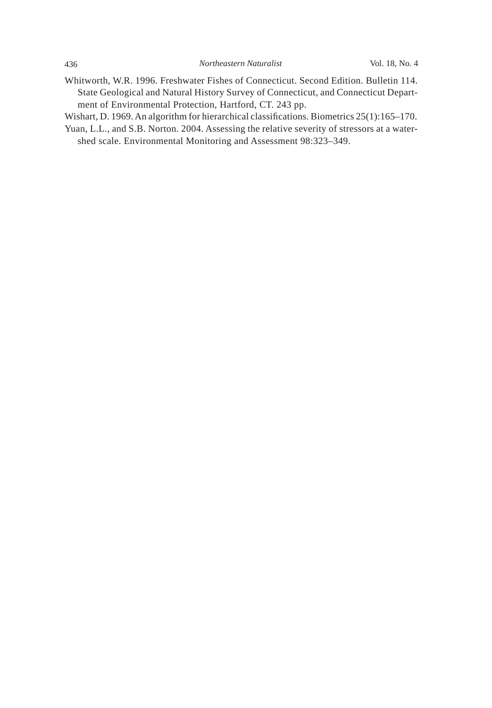- Whitworth, W.R. 1996. Freshwater Fishes of Connecticut. Second Edition. Bulletin 114. State Geological and Natural History Survey of Connecticut, and Connecticut Department of Environmental Protection, Hartford, CT. 243 pp.
- Wishart, D. 1969. An algorithm for hierarchical classifications. Biometrics 25(1):165–170.
- Yuan, L.L., and S.B. Norton. 2004. Assessing the relative severity of stressors at a watershed scale. Environmental Monitoring and Assessment 98:323–349.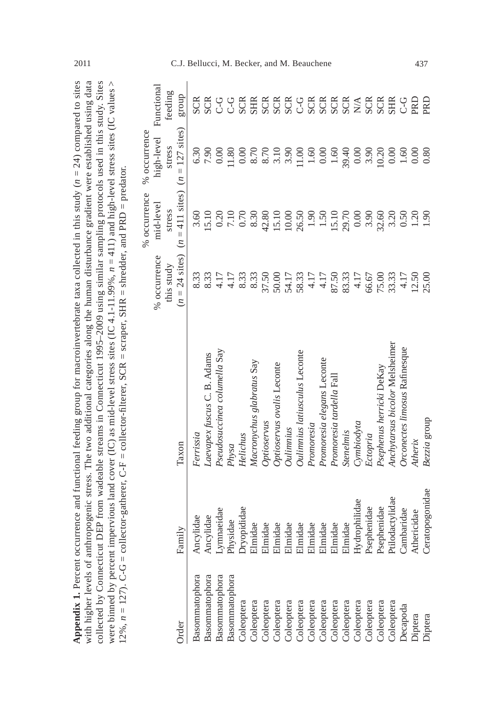| Appendix 1. Percent occurrence and functional feeding group for macroinvertebrate taxa collected in this study $(n = 24)$ compared to sites      |
|--------------------------------------------------------------------------------------------------------------------------------------------------|
| with higher levels of anthropogenic stress. The two additional categories along the human disturbance gradient were established using data       |
| collected by Connecticut DEP from wadeable streams in Connecticut 1995-2009 using similar sampling protocols used in this study. Sites           |
| were binned by percent impervious land cover (IC) as mid-level stress sites (IC 4.1-11.99%, $n = 411$ ) and high-level stress sites (IC values > |
| 12%, $n = 127$ ). C-G = collector-gatherer, C-F = collector-filterer, SCR = scraper, SHR = shredder, and PRD = predator.                         |

% occurrence % occurrence

% occurrence % occurrence

|                          |                              |                                | % occurrence          | mid-level                                                                    | high-level                              | Functional                                                                                                                                                                                                                                                                                                                                                                                                                                                                                                                                           |
|--------------------------|------------------------------|--------------------------------|-----------------------|------------------------------------------------------------------------------|-----------------------------------------|------------------------------------------------------------------------------------------------------------------------------------------------------------------------------------------------------------------------------------------------------------------------------------------------------------------------------------------------------------------------------------------------------------------------------------------------------------------------------------------------------------------------------------------------------|
|                          |                              |                                | this study            | stress                                                                       | stress                                  | feeding                                                                                                                                                                                                                                                                                                                                                                                                                                                                                                                                              |
| Order                    | Family                       | Taxon                          |                       | $(n = 24 \text{ sites})$ $(n = 411 \text{ sites})$ $(n = 127 \text{ sites})$ |                                         | group                                                                                                                                                                                                                                                                                                                                                                                                                                                                                                                                                |
| Basommatophora           | Ancylidae                    | Ferrissia                      | 8.33                  | 3.60                                                                         | 6.30                                    | SCR                                                                                                                                                                                                                                                                                                                                                                                                                                                                                                                                                  |
| Basommatophora           |                              | Laevapex fuscus C. B. Adams    | 8.33                  | 5.10                                                                         |                                         |                                                                                                                                                                                                                                                                                                                                                                                                                                                                                                                                                      |
| Basommatophora           |                              | Pseudosuccinea columella Say   | 4.17                  |                                                                              | 7.90<br>0.00                            |                                                                                                                                                                                                                                                                                                                                                                                                                                                                                                                                                      |
| Basommatophora           |                              | Physa                          |                       | $0.10$<br>$7.10$<br>$0.70$                                                   | 1.80                                    |                                                                                                                                                                                                                                                                                                                                                                                                                                                                                                                                                      |
|                          |                              | Helichus                       | 4.17<br>8.33          |                                                                              |                                         |                                                                                                                                                                                                                                                                                                                                                                                                                                                                                                                                                      |
|                          |                              | Macronychus glabratus Say      | 8.33                  | 8.30                                                                         | $0.000$<br>$8.700$<br>$8.100$<br>$3.90$ |                                                                                                                                                                                                                                                                                                                                                                                                                                                                                                                                                      |
|                          |                              | Optioservus                    |                       | 42.80                                                                        |                                         |                                                                                                                                                                                                                                                                                                                                                                                                                                                                                                                                                      |
|                          |                              | Optioservus ovalis Leconte     | 37.50<br>50.00        |                                                                              |                                         |                                                                                                                                                                                                                                                                                                                                                                                                                                                                                                                                                      |
|                          |                              | Oulimnius                      | 54.17                 |                                                                              |                                         |                                                                                                                                                                                                                                                                                                                                                                                                                                                                                                                                                      |
|                          |                              | Oulimnius latiusculus Leconte  |                       | 15.10<br>10.00<br>26.50                                                      | $11.00$                                 |                                                                                                                                                                                                                                                                                                                                                                                                                                                                                                                                                      |
|                          |                              | Promoresia                     |                       | $1.90\,$                                                                     | $1.60\,$                                |                                                                                                                                                                                                                                                                                                                                                                                                                                                                                                                                                      |
|                          |                              | Promoresia elegans Leconte     | 58.33<br>4.17<br>4.17 | $1.50\,$                                                                     | $0.00\,$                                |                                                                                                                                                                                                                                                                                                                                                                                                                                                                                                                                                      |
| Coleoptera               |                              | Promoresia tardella Fall       | 87.50                 |                                                                              | $1.60\,$                                |                                                                                                                                                                                                                                                                                                                                                                                                                                                                                                                                                      |
| Coleoptera               | Elmidae                      | <b>Stenelmis</b>               | 83.33                 | 15.10<br>29.70                                                               |                                         |                                                                                                                                                                                                                                                                                                                                                                                                                                                                                                                                                      |
|                          |                              | Cymbiodyta                     | 4.17                  | $0.00\,$                                                                     | $30.30$<br>$0.00$<br>$0.20$<br>$0.20$   | $S\overset{c}{\sim}S\overset{c}{\sim}S\overset{c}{\approx}\overset{c}{\approx}\overset{c}{\approx}\overset{c}{\approx}\overset{c}{\approx}\overset{c}{\approx}\overset{c}{\approx}\overset{c}{\approx}\overset{c}{\approx}\overset{c}{\approx}\overset{c}{\approx}\overset{c}{\approx}\overset{c}{\approx}\overset{c}{\approx}\overset{c}{\approx}\overset{c}{\approx}\overset{c}{\approx}\overset{c}{\approx}\overset{c}{\approx}\overset{c}{\approx}\overset{c}{\approx}\overset{c}{\approx}\overset{c}{\approx}\overset{c}{\approx}\overset{c}{\$ |
| Coleoptera<br>Coleoptera | Hydrophilidae<br>Psephenidae | Ectopria                       | 66.67                 | 3.90                                                                         |                                         |                                                                                                                                                                                                                                                                                                                                                                                                                                                                                                                                                      |
| Coleoptera               | <sup>2</sup> sephenidae      | Psephenus herricki DeKay       | 75.00                 | 32.60                                                                        |                                         |                                                                                                                                                                                                                                                                                                                                                                                                                                                                                                                                                      |
| Coleoptera               | Ptilodactylidae              | Anchytarsus bicolor Melsheimer | 33.33                 |                                                                              | 0.00                                    |                                                                                                                                                                                                                                                                                                                                                                                                                                                                                                                                                      |
| Decapoda                 | Cambaridae                   | Orconectes limosus Rafinesque  | 4.17                  | 3.20<br>0.50                                                                 | $1.60$<br>$0.00$                        |                                                                                                                                                                                                                                                                                                                                                                                                                                                                                                                                                      |
| Diptera                  | Athericidae                  | Atherix                        | 12.50                 | 1.20                                                                         |                                         |                                                                                                                                                                                                                                                                                                                                                                                                                                                                                                                                                      |
| Diptera                  | Ceratopogonidae              | Bezzia group                   | 25.00                 | 1.90                                                                         | 0.80                                    | PRD                                                                                                                                                                                                                                                                                                                                                                                                                                                                                                                                                  |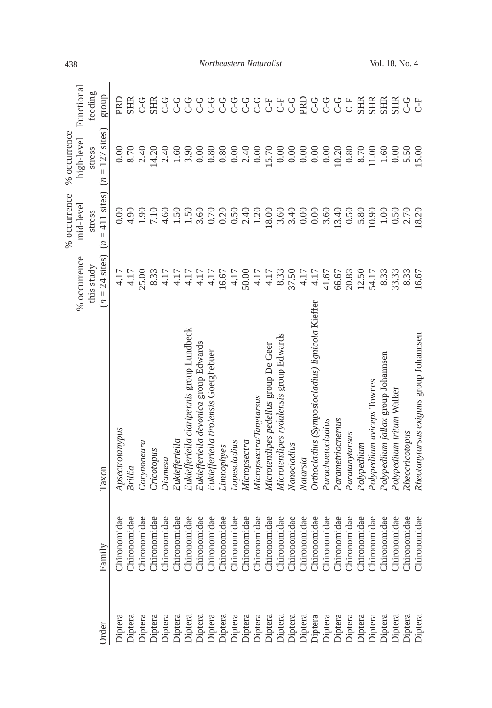|         |              |                                                  |                  | % occurrence                         | % occurrence   |                                       |
|---------|--------------|--------------------------------------------------|------------------|--------------------------------------|----------------|---------------------------------------|
|         |              |                                                  | % occurrence     | mid-level                            | high-level     | Functional                            |
|         |              |                                                  | this study       | stress                               | stress         | feeding                               |
| Order   | Family       | Taxon                                            | $(n = 24$ sites) | $(n = 411 \text{ sites})$ ( <i>n</i> | $= 127$ sites) | dnorg                                 |
| Diptera | Chironomidae | Apsectrotanypus                                  | 4.17             | 0.00                                 | 0.00           | PRD                                   |
| Diptera | Chironomidae | Brillia                                          | 4.17             | 4.90                                 | 8.70           | <b>SHR</b>                            |
| Diptera | Chironomidae | Corynoneura                                      | 25.00            | 1.90                                 | 2.40           | 5<br>C                                |
| Diptera | Chironomidae | Cricotopus                                       | 8.33             | 7.10                                 | 14.20          |                                       |
| Diptera | Chironomidae | Diamesa                                          | 4.17             | 4.60                                 |                |                                       |
| Diptera | Chironomidae | Eukiefferiella                                   | $4.17$<br>$4.17$ | 1.50                                 | $2.40$<br>1.60 |                                       |
| Diptera | Chironomidae | Eukiefferiella claripennis group Lundbeck        |                  | 1.50                                 | 3.90           |                                       |
| Diptera | Chironomidae | Eukiefferiella devonica group Edwards            | 4.17             | 3.60                                 | 0.00           |                                       |
| Diptera | Chironomidae | Eukiefferiella tirolensis Goetghebuer            | 4.17             | 0.70                                 | 0.80           |                                       |
| Diptera | Chironomidae | Limnophyes                                       | 16.67            | 0.20                                 | 0.80           |                                       |
| Diptera | Chironomidae | Lopescladius                                     | 4.17             | 0.50                                 | 0.00           |                                       |
| Diptera | Chironomidae | Micropsectra                                     | 50.00            | 2.40                                 | 2.40           |                                       |
| Diptera | Chironomidae | Micropsectra/Tanytarsus                          | 4.17             | 1.20                                 | 0.00           |                                       |
| Diptera | Chironomidae | Microtendipes pedellus group De Geer             | 4.17             | 18.00                                | 15.70          |                                       |
| Diptera | Chironomidae | Microtendipes rydalensis group Edwards           | 8.33             | 3.60                                 | 0.00           |                                       |
| Diptera | Chironomidae | Nanocladius                                      | 37.50            | 3.40                                 | 0.00           |                                       |
| Diptera | Chironomidae | Natarsia                                         | 4.17             | 0.00                                 | 0.00           |                                       |
| Diptera | Chironomidae | Orthocladius (Symposiocladius) lignicola Kieffer | 4.17             | 0.00                                 | 0.00           | <b>Ĕ</b> לללללללללללל<br>שלטלטטטטטטטט |
| Diptera | Chironomidae | Parachaetocladius                                | 41.67            | 3.60                                 | 0.00           |                                       |
| Diptera | Chironomidae | Parametriocnemus                                 | 66.67            | 13.40                                | 10.20          |                                       |
| Diptera | Chironomidae | Paratanytarsus                                   | 20.83            | 0.50                                 | 0.80           |                                       |
| Diptera | Chironomidae | Polypedilum                                      | 12.50            | 5.80                                 | 8.70           | <b>SHR</b>                            |
| Diptera | Chironomidae | Polypedilum aviceps Townes                       | 54.17            | 10.90                                | 11.00          | <b>SHR</b>                            |
| Diptera | Chironomidae | Polypedilum fallax group Johannsen               | 8.33             | 1.00                                 | $1.60\,$       | <b>SHR</b>                            |
| Diptera | Chironomidae | Polypedilum tritum Walker                        | 33.33            | 0.50                                 | 0.00           | <b>SHR</b>                            |
| Diptera | Chironomidae | Rheocricotopus                                   | 8.33             | 2.70                                 | 5.50           | <b>C-5</b><br>C-F                     |
| Diptera | Chironomidae | Rheotanytarsus exiguus group Johannsen           | 16.67            | 18.20                                | 15.00          |                                       |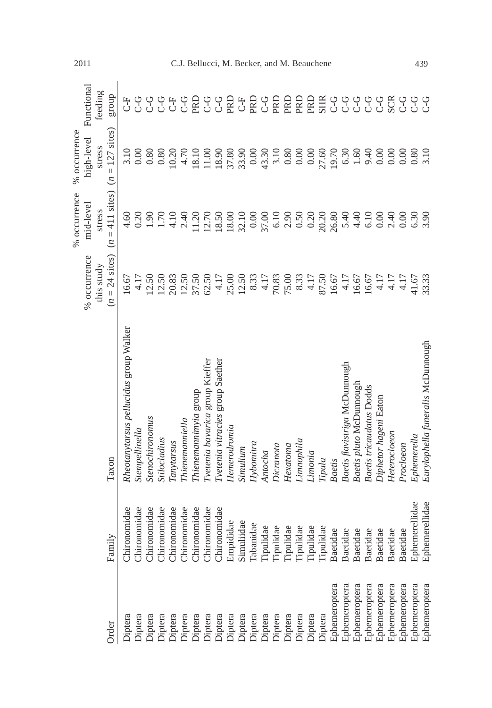|               |                        |                                        |                          | % occurrence | % occurrence                                        |                         |
|---------------|------------------------|----------------------------------------|--------------------------|--------------|-----------------------------------------------------|-------------------------|
|               |                        |                                        | % occurrence             | mid-level    | high-level                                          | Functional              |
|               |                        |                                        | this study               | stress       | stress                                              | feeding                 |
| Order         | Family                 | Taxon                                  | $(n = 24 \text{ sites})$ |              | $(n = 411 \text{ sites})$ $(n = 127 \text{ sites})$ | group                   |
| Diptera       | Chironomida            | Rheotanytarsus pellucidus group Walker | 6.67                     | 4.60         | 3.10                                                | 5<br>U                  |
| Diptera       | Chironomida            | Stempellinella                         | 4.17                     | 0.20         | 0.00                                                | U<br>U                  |
| Diptera       | Chironomida            | Stenochironomus                        | 12.50                    | 1.90         | 0.80                                                |                         |
| Diptera       | Φ<br>Chironomida       | <b>Stilocladius</b>                    | 12.50                    | 1.70         | 0.80                                                | 5<br>5<br>5<br>5<br>5   |
| Diptera       | Φ<br>Chironomida       | Tanytarsus                             | 20.83                    | 4.10         | 10.20                                               |                         |
| Diptera       | Chironomida            | Thienemanniella                        | 12.50                    | 2.40         | 4.70                                                | <b>C-C</b><br>C-C<br>RE |
| Diptera       | Φ<br>Chironomida       | Thienemannimyia group                  | 37.50                    | 11.20        | 18.10                                               |                         |
| Diptera       | Chironomida            | Tvetenia bavarica group Kieffer        | 62.50                    | 12.70        | 11.00                                               |                         |
| Diptera       | ٥<br>Chironomida       | Tvetenia vitracies group Saether       | 4.17                     | 18.50        | 18.90                                               | 5<br>0<br>0<br>0        |
| Diptera       | Empididae              | Hemerodromia                           | 25.00                    | 18.00        | 37.80                                               | PRD                     |
| Diptera       | Simuliidae             | Simulium                               | 12.50                    | 32.10        | 33.90                                               | $\rm C\textsc{F}$       |
| Diptera       | Tabanidae              | Hybomira                               | 8.33                     | 0.00         | 0.00                                                | PRD                     |
| Diptera       | Tipulidae              | Antocha                                | 4.17                     | 37.00        | 43.30                                               | $C-C$                   |
| Diptera       | Tipulidae              | Dicranota                              | 70.83                    | 6.10         | 3.10                                                | PRD                     |
| Diptera       | Tipulidae              | Hexatoma                               | 75.00                    | 2.90         | 0.80                                                | PRD                     |
| Diptera       |                        | Limnophila                             | 8.33                     | 0.50         | 0.00                                                | PRD                     |
| Diptera       | Tipulidae<br>Tipulidae | Limonia                                | 4.17                     | 0.20         | 0.00                                                | PRD                     |
| Diptera       | Tipulidae              | Tipula                                 | 87.50                    | 20.20        | 27.60                                               | <b>SHR</b>              |
| Ephemeroptera | Baetidae               | <b>Baetis</b>                          | 16.67                    | 26.80        | 19.70                                               | cocco<br>cocco          |
| Ephemeroptera | Baetidae               | Baetis flavistriga McDunnough          | 4.17                     | 5.40         | 6.30                                                |                         |
| Ephemeroptera | Baetidae               | <i>Baetis pluto McDun</i> nough        | 16.67                    | 4.40         | 1.60                                                |                         |
| Ephemeroptera | Baetidae               | Baetis tricaudatus Dodds               | 16.67                    | 6.10         | 9.40                                                |                         |
| Ephemeroptera | Baetidae               | Diphetor hageni Eaton                  | 4.17                     | 0.00         | 0.00                                                |                         |
| Ephemeroptera | Baetidae               | Heterocloeon                           | 4.17                     | 2.40         | 0.00                                                | <b>SCR</b>              |
| Ephemeroptera | Baetidae               | Procloeon                              | 4.17                     | 0.00         | 0.00                                                |                         |
| Ephemeroptera | Ephemerellidae         | Ephemerella                            | 41.67                    | 6.30         | 0.80                                                | りりり<br>じじじ              |
| Ephemeroptera | Ephemerellidae         | Eurylophella funeralis McDunnough      | 33.33                    | <b>3.90</b>  | 3.10                                                |                         |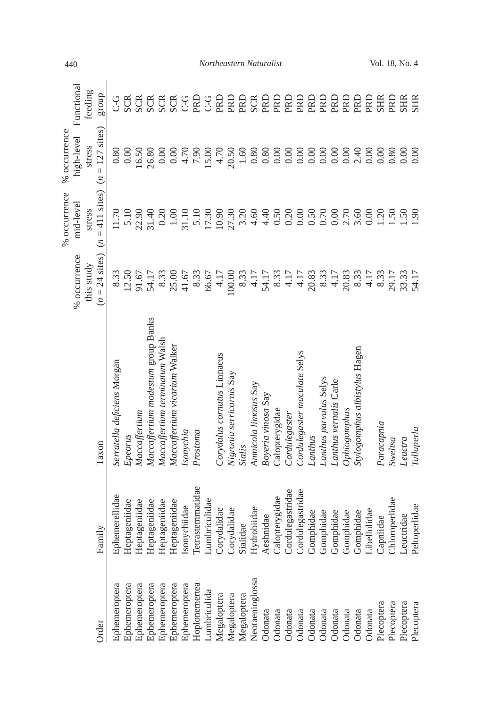|                 |                         |                                    | % occurrence           | % occurrence<br>mid-level                            | % occurrence<br>high-level    | Functional        |
|-----------------|-------------------------|------------------------------------|------------------------|------------------------------------------------------|-------------------------------|-------------------|
|                 |                         |                                    | this study             | stress                                               | stress                        | feeding           |
| Order           | Family                  | Taxon                              | $(n = 24$ sites)       | $(n = 411 \text{ sites})$                            | $= 127$ sites)<br>$\tilde{u}$ | dnorg             |
| Ephemeroptera   | lidae<br>Ephemerell     | Serratella deficiens Morgan        | 8.33                   | 11.70                                                | 0.80                          | り<br>い            |
| Ephemeroptera   | Heptageniidae           | Epeorus                            | 12.50                  |                                                      | 0.00                          | <b>SCR</b>        |
| Ephemeroptera   | Heptageniidae           | Maccaffertium                      | 91.67                  | 5.10<br>22.90                                        | 16.50                         | <b>SCR</b>        |
| Ephemeroptera   | Heptageniidae           | Maccaffertium modestum group Banks | 54.17                  | 31.40                                                | 26.80                         | <b>SCR</b>        |
| Ephemeroptera   | Heptageniidae           | Maccaffertium terminatum Walsh     | 8.33                   |                                                      | 0.00                          | SCR<br>SCC<br>C-G |
| Ephemeroptera   | Heptageniidae           | Maccaffertium vicarium Walker      | 25.00                  | $\begin{array}{c} 0.20 \\ 1.00 \\ 31.10 \end{array}$ | 0.00                          |                   |
| Ephemeroptera   | Isonychiidae            | Isonychia                          | 41.67                  |                                                      | 4.70                          |                   |
| Hoplonemertea   | <b>Tetrastemmatidae</b> | Prostoma                           | 8.33                   | $5.10$<br>17.30                                      | 7.90                          | PRD               |
| Lumbriculida    | Lumbriculidae           |                                    | 66.67                  |                                                      | 15.00                         | C-G               |
| Megaloptera     | Corydalidae             | Corydalus cornutus Linnaeus        | 4.17                   | 10.90                                                | 4.70                          | PRD               |
| Megaloptera     | Corydalidae             | Nigronia serricornis Say           | 100.00                 | 27.30                                                | 20.50                         | PRD               |
| Megaloptera     | Sialidae                | <b>Sialis</b>                      |                        |                                                      | $1.60\,$                      | PRD               |
| Neotaenioglossa | Hydrobiidae             | Amnicola limosus Say               | $8.33$<br>4.17         | $3.20$<br>4.60                                       | 0.80                          | <b>SCR</b>        |
| Odonata         | Aeshnidae               | Boyeria vinosa Say                 | 54.17                  | 4.40                                                 | 0.80                          | PRD               |
| Odonata         | Calopterygidae          | Calopterygidae                     | $8.33$<br>4.17<br>4.17 | 0.50                                                 | 0.00                          | <b>PRD</b>        |
| Odonata         | Cordulegastridae        | Cordulegaster                      |                        | 0.20                                                 | 0.00                          | PRD               |
| Odonata         | Cordulegastridae        | Cordulegaster maculate Selys       |                        | 0.00                                                 | 0.00                          | <b>ERD</b>        |
| Odonata         | Gomphidae               | Lanthus                            | 20.83                  | 0.50                                                 | 0.00000                       | <b>PRD</b>        |
| Odonata         | Gomphidae               | Lanthus parvulus Selys             | 8.33                   | 0.70                                                 |                               | PRD               |
| Odonata         | Gomphidae               | Lanthus vernalis Carle             | 4.17                   | 0.00                                                 | 0.00                          | <b>ERD</b>        |
| Odonata         | Gomphidae               | Ophiogomphus                       | 20.83                  | 2.70                                                 | 0.00                          | PRD               |
| Odonata         | Gomphidae               | Stylogomphus albistylus Hagen      | 8.33                   | 3.60                                                 | 2.40                          | PRD               |
| Odonata         | ibellulidae             |                                    | 4.17                   | 0.00                                                 | 0.00                          | <b>ERD</b>        |
| Plecoptera      | Capniidae               | Paracapnia                         | 8.33                   | 1.20                                                 | 0.00                          | <b>SHR</b>        |
| Plecoptera      | Chloroperlidae          | <b>Sweltsa</b>                     | 29.17                  | 1.50                                                 | 0.80                          | PRD               |
| Plecoptera      | euctridae               | Leuctra                            | 33.33                  | .50                                                  | 0.00000                       | <b>SHIR</b>       |
| Plecoptera      | Peltoperlidae           | Tallaperla                         | 54.17                  | 90                                                   |                               | <b>SHR</b>        |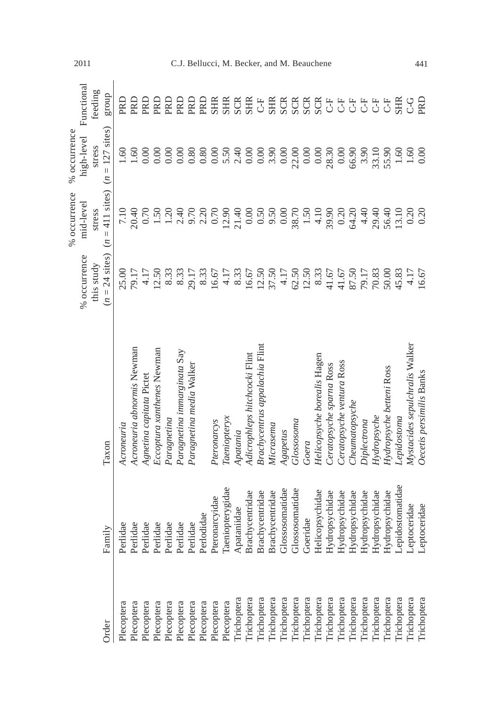|             |                  |                                | % occurrence     | % occurrence<br>mid-level | % occurrence<br>high-level    | Functional                     |
|-------------|------------------|--------------------------------|------------------|---------------------------|-------------------------------|--------------------------------|
|             |                  |                                | this study       | stress                    | stress                        | feeding                        |
| Order       | Family           | Taxon                          | $(n = 24$ sites) | $(n = 411 \text{ sites})$ | $= 127$ sites)<br>$\tilde{u}$ | dnorst                         |
| Plecoptera  | Perlidae         | Acroneuria                     | 25.00            | 7.10                      | 1.60                          | PRD                            |
| Plecoptera  | Perlidae         | Acroneuria abnormis Newman     | 79.17            | 20.40                     | 1.60                          | <b>QAG</b>                     |
| Plecoptera  | Perlidae         | Agnetina capitata Pictet       | 4.17             | 0.70                      | 0.00                          | <b>ORP</b>                     |
| Plecoptera  | Perlidae         | Eccoptura xanthenes Newman     | 12.50            | 1.50                      | 0.00                          | <b>ERD</b>                     |
| Plecoptera  | Perlidae         | Paragnetina                    | 8.33             | 1.20                      | 0.00                          | PRD                            |
| Plecoptera  | Perlidae         | Paragnetina immarginata Say    | 8.33             | 2.40                      | 0.00                          | PRD                            |
| Plecoptera  | Perlidae         | Paragnetina media Walker       | 29.17            | 9.70                      | 0.80                          | PRD                            |
| Plecoptera  | Perlodidae       |                                | 8.33             | $2.20$<br>$0.70$          | 0.80                          | PRD                            |
| Plecoptera  | Pteronarcyidae   | Pteronarcys                    | 16.67            |                           | 0.00                          | <b>SHR</b>                     |
| Plecoptera  | Taeniopterygidae | Taeniopteryx                   | 4.17             | 12.90                     | 5.50                          | <b>SHR</b>                     |
| Trichoptera | Apataniidae      | Apatania                       | 8.33             | 21.40                     | 2.40                          | <b>SCR</b>                     |
| Trichoptera | Brachycentridae  | Adicrophleps hitchcocki Flint  | 16.67            | 0.00                      | 0.00                          | <b>SHR</b>                     |
| Trichoptera | Brachycentridae  | Brachycentrus appalachia Flint | 12.50            | 0.50                      | 0.00                          | $\mathbf{C}\text{-}\mathbf{F}$ |
| Trichoptera | Brachycentridae  | Micrasema                      | 37.50            | 9.50                      | 3.90                          | <b>SHR</b>                     |
| Trichoptera | Glossosomatidae  | Agapetus                       | 4.17             | 0.00                      | 0.00                          | <b>SCR</b>                     |
| Trichoptera | Glossosomatidae  | Glossosoma                     | 62.50            | 38.70                     | 22.00                         |                                |
| Trichoptera | Goeridae         | Goera                          | 12.50            | 1.50                      | 0.00                          | <b>SER</b><br>SER              |
| Trichoptera | Helicopsychidae  | Helicopsyche borealis Hagen    | 8.33             | 4.10                      | 0.00                          |                                |
| Trichoptera | Hydropsychidae   | Ceratopsyche sparna Ross       | 41.67            | 39.90                     | 28.30                         |                                |
| Trichoptera | Hydropsychidae   | Ceratopsyche ventura Ross      | 41.67            | 0.20                      | 0.00                          |                                |
| Trichoptera | Hydropsychidae   | Cheumatopsyche                 | 87.50            | 64.20                     | 66.90                         | 555555                         |
| Trichoptera | Hydropsychidae   | Diplectrona                    | 79.17            | 4.40                      | 3.90                          |                                |
| Trichoptera | Hydropsychidae   | Hydropsyche                    | 70.83            | 29.40                     | 33.10                         |                                |
| Trichoptera | Hydropsychidae   | Hydropsyche betteni Ross       | 50.00            | 56.40                     | 55.90                         |                                |
| Trichoptera | epidostomatidae  | Lepidostoma                    | 45.83            | 13.10                     | 1.60                          | <b>SHIR</b>                    |
| Trichoptera | Leptoceridae     | Mystacides sepulchralis Walker | 4.17             | 0.20                      | 1.60                          | C-G                            |
| Trichoptera | eptoceridae      | Oecetis persimilis Banks       | 6.67             | 0.20                      | 0.00                          | <b>ORD</b>                     |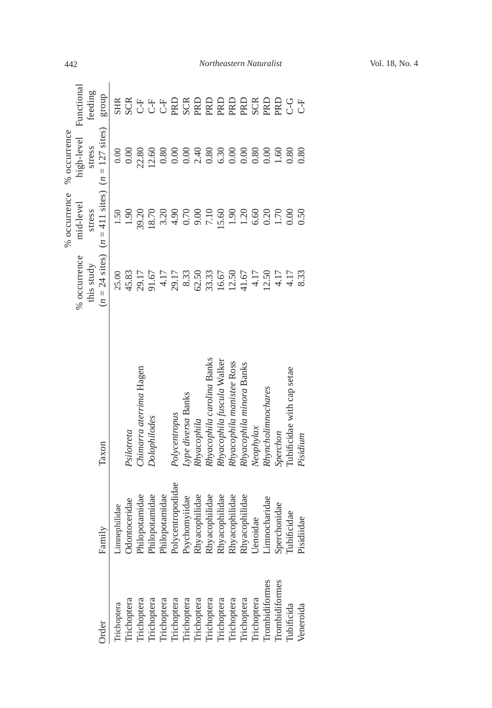|                            |                                                                                                                                                                                                      |                            |                         | % occurrence % occurrence                                                    |                       |                              |
|----------------------------|------------------------------------------------------------------------------------------------------------------------------------------------------------------------------------------------------|----------------------------|-------------------------|------------------------------------------------------------------------------|-----------------------|------------------------------|
|                            |                                                                                                                                                                                                      |                            | % occurrence            | mid-level                                                                    | high-level Functional |                              |
|                            |                                                                                                                                                                                                      |                            | this study              | stress                                                                       | stress                | feeding                      |
| <b>Drder</b>               | Family                                                                                                                                                                                               | Taxon                      |                         | $(n = 24 \text{ sites})$ $(n = 411 \text{ sites})$ $(n = 127 \text{ sites})$ |                       | group                        |
| richoptera                 | lae<br>imnephilid                                                                                                                                                                                    |                            | 25.00                   | 1.50                                                                         | $0.00\,$              |                              |
| richoptera                 | <b>Odontoceridae</b>                                                                                                                                                                                 | Psilotreta                 |                         | 1.90                                                                         | 0.00                  | ES E F F E S E E E E E S E E |
| richoptera                 | Philopotamidae<br>Philopotamidae<br>Philopotamidae<br>Polycentropodidae<br>Psychomyiidae<br>Rhyacophilidae<br>Rhyacophilidae<br>Rhyacophilidae<br>Rhyacophilidae<br>Rhyacophilidae<br>Rhyacophilidae | Chimarra aterrima Hagen    |                         | 39.20                                                                        |                       |                              |
| richoptera                 |                                                                                                                                                                                                      | Dolophilodes               |                         | 18.70                                                                        |                       |                              |
| Trichoptera                |                                                                                                                                                                                                      |                            |                         |                                                                              |                       |                              |
| richoptera                 |                                                                                                                                                                                                      | Polycentropus              |                         |                                                                              |                       |                              |
| Trichoptera                |                                                                                                                                                                                                      | Lype diversa Banks         |                         | 3.20<br>4.90<br>0.70                                                         |                       |                              |
| Trichoptera                |                                                                                                                                                                                                      | Rhyacophila                |                         |                                                                              |                       |                              |
|                            |                                                                                                                                                                                                      | Rhyacophila carolina Banks |                         | 9.00<br>7.10                                                                 |                       |                              |
| Trichoptera<br>Trichoptera |                                                                                                                                                                                                      | Rhyacophila fuscula Walker |                         | 15.60                                                                        |                       |                              |
| richoptera                 |                                                                                                                                                                                                      | Rhyacophila manistee Ross  |                         |                                                                              |                       |                              |
| Trichoptera<br>Trichoptera |                                                                                                                                                                                                      | Rhyacophila minora Banks   |                         | $1.90$<br>$1.20$                                                             | 0.00                  |                              |
|                            |                                                                                                                                                                                                      | Neophylax                  |                         | 6.60                                                                         |                       |                              |
| Trombidiformes             | Linnocharidae<br>Sperchonidae                                                                                                                                                                        | Rhyncholimnochares         | $12.50$<br>4.17<br>4.17 | 0.20                                                                         | 0.80                  |                              |
| Trombidiformes             |                                                                                                                                                                                                      | Sperchon                   |                         | 1.70                                                                         | $\frac{1.60}{0.80}$   |                              |
| <b>Lubificida</b>          | lubificidae                                                                                                                                                                                          | Tubificidae with cap setae |                         | 0.00                                                                         |                       | <b>RUGE</b>                  |
| Veneroida                  | <i>risidiidae</i>                                                                                                                                                                                    | Pisidium                   | 8.33                    | 0.50                                                                         | 0.80                  |                              |
|                            |                                                                                                                                                                                                      |                            |                         |                                                                              |                       |                              |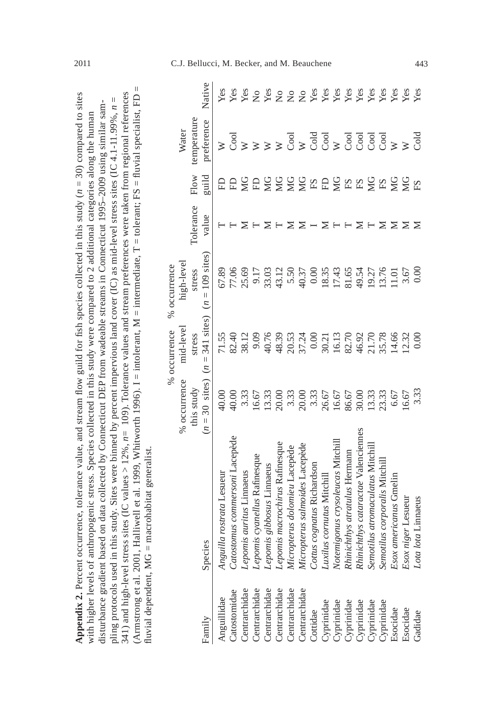| Appendix 2. Percent occurrence, tolerance value, and stream flow guild for fish species collected in this study ( $n = 30$ ) compared to sites<br>listurbance gradient based on data collected by Connecticut DEP from wadeable streams in Connecticut 1995-2009 using similar sam-<br>with higher levels of anthropogenic stress. Species collected in this study were compared to 2 additional categories along the human                                                                          |
|------------------------------------------------------------------------------------------------------------------------------------------------------------------------------------------------------------------------------------------------------------------------------------------------------------------------------------------------------------------------------------------------------------------------------------------------------------------------------------------------------|
| et al. 1999, Whitworth 1996). I = intolerant, $M =$ intermediate, $T =$ tolerant; FS = fluvial specialist, FD =<br>$41$ ) and high-level stress sites (IC values > 12%, $n=109$ ). Tolerance values and stream preferences were taken from regional references<br>bling protocols used in this study. Sites were binned by percent impervious land cover (IC) as mid-level stress sites (IC 4.1-11.9%, $n =$<br>fluvial dependent, MG = macrohabitat generalist.<br>Armstrong et al. 2001, Halliwell |

|                          |                                     |                                                                                                                                                                                                                                                                                                               | % occurrence                                                                 | % occurrence |           |                               |                                                                                                                                                                                                                                                                                                                                                                                                                                                              |        |
|--------------------------|-------------------------------------|---------------------------------------------------------------------------------------------------------------------------------------------------------------------------------------------------------------------------------------------------------------------------------------------------------------|------------------------------------------------------------------------------|--------------|-----------|-------------------------------|--------------------------------------------------------------------------------------------------------------------------------------------------------------------------------------------------------------------------------------------------------------------------------------------------------------------------------------------------------------------------------------------------------------------------------------------------------------|--------|
|                          |                                     | % occurrence                                                                                                                                                                                                                                                                                                  | mid-level                                                                    | high-level   |           |                               | Water                                                                                                                                                                                                                                                                                                                                                                                                                                                        |        |
|                          |                                     | this study                                                                                                                                                                                                                                                                                                    | stress                                                                       | stress       | Tolerance | Flow                          | temperature                                                                                                                                                                                                                                                                                                                                                                                                                                                  |        |
| Family                   | Species                             |                                                                                                                                                                                                                                                                                                               | $(n = 30 \text{ sites})$ $(n = 341 \text{ sites})$ $(n = 109 \text{ sites})$ |              | value     | guild                         | preterence                                                                                                                                                                                                                                                                                                                                                                                                                                                   | Native |
| Anguillidae              | Anguilla rostrata Lesueur           | 40.00                                                                                                                                                                                                                                                                                                         |                                                                              |              |           |                               |                                                                                                                                                                                                                                                                                                                                                                                                                                                              | Yes    |
| Catostomidae             | Catostomus commersoni Lacepède      | 40.00                                                                                                                                                                                                                                                                                                         | 71.55<br>82.40<br>38.12                                                      |              |           |                               | ≫<br>⊘s ≫                                                                                                                                                                                                                                                                                                                                                                                                                                                    | Yes    |
| Centrarchidae            | Linnaeus<br>Lepomis auritus         |                                                                                                                                                                                                                                                                                                               |                                                                              |              |           | E g                           |                                                                                                                                                                                                                                                                                                                                                                                                                                                              |        |
| Centrarchidae            | Lepomis cyanellus Rafinesque        |                                                                                                                                                                                                                                                                                                               | 9.09                                                                         |              |           |                               |                                                                                                                                                                                                                                                                                                                                                                                                                                                              |        |
| Centrarchidae            | Lepomis gibbosus Linnaeus           |                                                                                                                                                                                                                                                                                                               |                                                                              |              |           |                               |                                                                                                                                                                                                                                                                                                                                                                                                                                                              |        |
| Centrarchidae            | Lepomis macrochirus Rafinesque      |                                                                                                                                                                                                                                                                                                               |                                                                              |              |           |                               |                                                                                                                                                                                                                                                                                                                                                                                                                                                              |        |
| Centrarchidae            | Micropterus dolomieu Lacepède       |                                                                                                                                                                                                                                                                                                               |                                                                              |              |           |                               |                                                                                                                                                                                                                                                                                                                                                                                                                                                              |        |
| Centrarchidae            | Micropterus salmoides Lacepède      |                                                                                                                                                                                                                                                                                                               |                                                                              |              |           |                               |                                                                                                                                                                                                                                                                                                                                                                                                                                                              |        |
| Cottidae                 | Richardson<br>Cottus cognatus       | $\begin{array}{l} 3.33 \\ 1.67 \\ 1.67 \\ 1.67 \\ 2.39 \\ 2.39 \\ 2.30 \\ 2.33 \\ 2.30 \\ 2.31 \\ 2.33 \\ 2.30 \\ 2.31 \\ 2.33 \\ 2.33 \\ 2.33 \\ 2.33 \\ 2.33 \\ 2.33 \\ 2.33 \\ 2.33 \\ 2.33 \\ 2.33 \\ 2.33 \\ 2.33 \\ 2.33 \\ 2.33 \\ 2.33 \\ 2.33 \\ 2.33 \\ 2.33 \\ 2.33 \\ 2.33 \\ 2.33 \\ 2.33 \\ 2.$ |                                                                              |              |           | 6 5 5 5 5 6 6 6 5 6 6 5 6 5 6 | $\mathbb{R}\mathbb{R}\overset{\frown}{\underset{\smile}{\otimes}}\mathbb{G}\overset{\frown}{\underset{\smile}{\otimes}}\mathbb{G}\overset{\frown}{\underset{\smile}{\otimes}}\mathbb{G}\overset{\frown}{\underset{\smile}{\otimes}}\mathbb{G}\overset{\frown}{\underset{\smile}{\otimes}}\mathbb{G}\overset{\frown}{\underset{\smile}{\otimes}}\mathbb{G}\overset{\frown}{\underset{\smile}{\otimes}}\mathbb{G}\overset{\frown}{\underset{\smile}{\otimes}}$ |        |
|                          | Mitchill<br>Luxilus cornutus        |                                                                                                                                                                                                                                                                                                               |                                                                              |              |           |                               |                                                                                                                                                                                                                                                                                                                                                                                                                                                              |        |
| Cyprinidae<br>Cyprinidae | Notemigonus crysoleucas Mitchil     |                                                                                                                                                                                                                                                                                                               |                                                                              |              |           |                               |                                                                                                                                                                                                                                                                                                                                                                                                                                                              |        |
| Cyprinidae               | Rhinichthys atratulus Hermann       |                                                                                                                                                                                                                                                                                                               |                                                                              |              |           |                               |                                                                                                                                                                                                                                                                                                                                                                                                                                                              |        |
|                          | Rhinichthys cataractae Valenciennes |                                                                                                                                                                                                                                                                                                               |                                                                              |              |           |                               |                                                                                                                                                                                                                                                                                                                                                                                                                                                              |        |
| Cyprinidae<br>Cyprinidae | Semotilus atromaculatus Mitchil     |                                                                                                                                                                                                                                                                                                               |                                                                              |              |           |                               |                                                                                                                                                                                                                                                                                                                                                                                                                                                              |        |
| Cyprinidae               | Semotilus corporalis Mitchil        | 23.33                                                                                                                                                                                                                                                                                                         |                                                                              |              |           |                               |                                                                                                                                                                                                                                                                                                                                                                                                                                                              |        |
| Esocidae                 | Esox americanus Gmelin              | 6.67                                                                                                                                                                                                                                                                                                          |                                                                              |              |           |                               |                                                                                                                                                                                                                                                                                                                                                                                                                                                              |        |
| Esocidae                 | Esox niger Lesueur                  | 16.67                                                                                                                                                                                                                                                                                                         |                                                                              |              |           |                               |                                                                                                                                                                                                                                                                                                                                                                                                                                                              |        |
| Gadidae                  | Lota lota Linnaeus                  | 3.33                                                                                                                                                                                                                                                                                                          | 0.00                                                                         | 0.00         |           | FS                            |                                                                                                                                                                                                                                                                                                                                                                                                                                                              | Yes    |